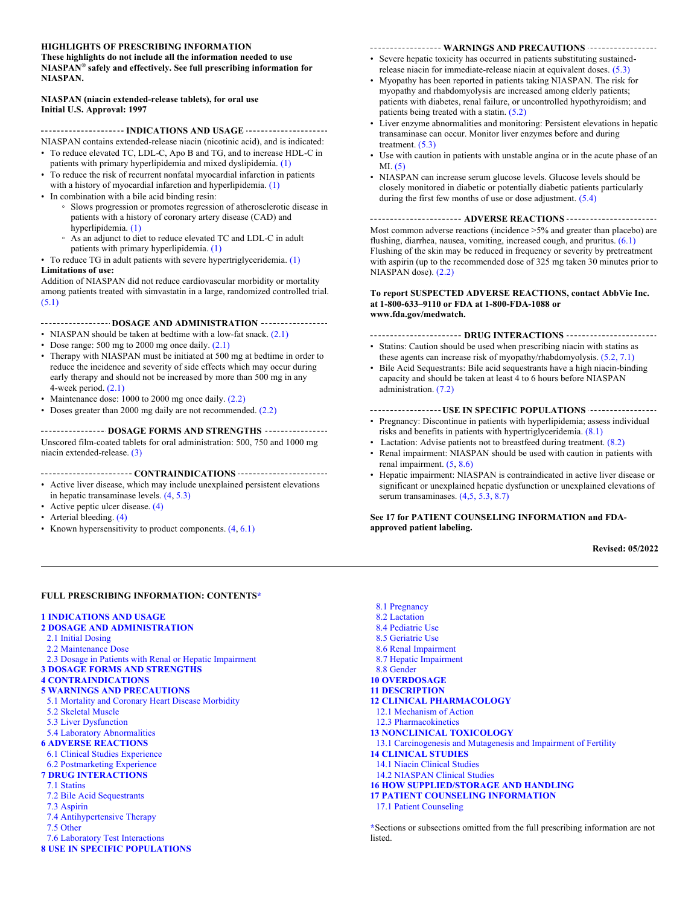#### **HIGHLIGHTS OF PRESCRIBING INFORMATION**

**These highlights do not include all the information needed to use NIASPAN® safely and effectively. See full prescribing information for NIASPAN.** 

**NIASPAN (niacin extended-release tablets), for oral use Initial U.S. Approval: 1997** 

**INDICATIONS AND USAGE** .....................

- NIASPAN contains extended-release niacin (nicotinic acid), and is indicated: • To reduce elevated TC, LDL-C, Apo B and TG, and to increase HDL-C in
- patients with primary hyperlipidemia and mixed dyslipidemia. [\(1\)](#page-2-0) • To reduce the risk of recurrent nonfatal myocardial infarction in patients
- with a history of myocardial infarction and hyperlipidemia. [\(1\)](#page-2-0)
- In combination with a bile acid binding resin:
	- Slows progression or promotes regression of atherosclerotic disease in patients with a history of coronary artery disease (CAD) and hyperlipidemia. [\(1\)](#page-2-0)
	- As an adjunct to diet to reduce elevated TC and LDL-C in adult patients with primary hyperlipidemia. [\(1\)](#page-2-0)
- To reduce TG in adult patients with severe hypertriglyceridemia. [\(1\)](#page-2-0) **Limitations of use:**

Addition of NIASPAN did not reduce cardiovascular morbidity or mortality among patients treated with simvastatin in a large, randomized controlled trial. [\(5.1\)](#page-4-0)

**DOSAGE AND ADMINISTRATION** -----------------

- NIASPAN should be taken at bedtime with a low-fat snack. [\(2.1\)](#page-2-1)
- Dose range: 500 mg to 2000 mg once daily. [\(2.1\)](#page-2-1)
- Therapy with NIASPAN must be initiated at 500 mg at bedtime in order to reduce the incidence and severity of side effects which may occur during early therapy and should not be increased by more than 500 mg in any 4-week period. [\(2.1\)](#page-2-1)
- Maintenance dose:  $1000$  to  $2000$  mg once daily.  $(2.2)$
- Doses greater than 2000 mg daily are not recommended. [\(2.2\)](#page-3-0)

**DOSAGE FORMS AND STRENGTHS** ................. Unscored film-coated tablets for oral administration: 500, 750 and 1000 mg niacin extended-release. [\(3\)](#page-4-1)

**CONTRAINDICATIONS**

- Active liver disease, which may include unexplained persistent elevations in hepatic transaminase levels. [\(4,](#page-4-2) [5.3\)](#page-5-0)
- Active peptic ulcer disease. [\(4\)](#page-4-2)
- Arterial bleeding. [\(4\)](#page-4-2)
- Known hypersensitivity to product components.  $(4, 6.1)$  $(4, 6.1)$

------------------ WARNINGS AND PRECAUTIONS ------------------

- Severe hepatic toxicity has occurred in patients substituting sustainedrelease niacin for immediate-release niacin at equivalent doses. [\(5.3\)](#page-5-0)
- Myopathy has been reported in patients taking NIASPAN. The risk for myopathy and rhabdomyolysis are increased among elderly patients; patients with diabetes, renal failure, or uncontrolled hypothyroidism; and patients being treated with a statin. [\(5.2\)](#page-5-1)
- Liver enzyme abnormalities and monitoring: Persistent elevations in hepatic transaminase can occur. Monitor liver enzymes before and during treatment. [\(5.3\)](#page-5-0)
- Use with caution in patients with unstable angina or in the acute phase of an MI. [\(5\)](#page-4-3)
- NIASPAN can increase serum glucose levels. Glucose levels should be closely monitored in diabetic or potentially diabetic patients particularly during the first few months of use or dose adjustment. [\(5.4\)](#page-6-1)

----------------------- ADVERSE REACTIONS ------------------------Most common adverse reactions (incidence >5% and greater than placebo) are flushing, diarrhea, nausea, vomiting, increased cough, and pruritus. [\(6.1\)](#page-6-0) Flushing of the skin may be reduced in frequency or severity by pretreatment with aspirin (up to the recommended dose of 325 mg taken 30 minutes prior to NIASPAN dose). [\(2.2\)](#page-3-0)

#### **To report SUSPECTED ADVERSE REACTIONS, contact AbbVie Inc. at 1-800-633–9110 or FDA at 1-800-FDA-1088 or www.fda.gov/medwatch.**

----------------------- DRUG INTERACTIONS ------------------------• Statins: Caution should be used when prescribing niacin with statins as

these agents can increase risk of myopathy/rhabdomyolysis. [\(5.2,](#page-5-1) [7.1\)](#page-9-0) • Bile Acid Sequestrants: Bile acid sequestrants have a high niacin-binding capacity and should be taken at least 4 to 6 hours before NIASPAN administration. [\(7.2\)](#page-9-1)

------------------- USE IN SPECIFIC POPULATIONS ---------

- Pregnancy: Discontinue in patients with hyperlipidemia; assess individual risks and benefits in patients with hypertriglyceridemia. [\(8.1\)](#page-10-0)
- Lactation: Advise patients not to breastfeed during treatment. [\(8.2\)](#page-10-1)
- Renal impairment: NIASPAN should be used with caution in patients with renal impairment. [\(5,](#page-4-3) [8.6\)](#page-11-0)
- Hepatic impairment: NIASPAN is contraindicated in active liver disease or significant or unexplained hepatic dysfunction or unexplained elevations of serum transaminases. [\(4,](#page-4-2)[5,](#page-4-3) [5.3,](#page-5-0) [8.7\)](#page-11-1)

**See 17 for PATIENT COUNSELING INFORMATION and FDAapproved patient labeling.**

**Revised: 05/2022**

#### **FULL PRESCRIBING INFORMATION: CONTENTS[\\*](#page-0-0)**

**[1 INDICATIONS AND USAGE](#page-2-0)**

#### **[2 DOSAGE AND ADMINISTRATION](#page-2-2)**

- [2.1 Initial Dosing](#page-2-1)
- [2.2 Maintenance Dose](#page-3-0)
- [2.3 Dosage in Patients with Renal or Hepatic Impairment](#page-3-1)
- **[3 DOSAGE FORMS AND STRENGTHS](#page-4-1)**

#### **[4 CONTRAINDICATIONS](#page-4-2)**

- **[5 WARNINGS AND PRECAUTIONS](#page-4-3)**
- [5.1 Mortality and Coronary Heart Disease Morbidity](#page-4-0)
- [5.2 Skeletal Muscle](#page-5-1)
- [5.3 Liver Dysfunction](#page-5-0)
- [5.4 Laboratory Abnormalities](#page-6-1)

#### **[6 ADVERSE REACTIONS](#page-6-2)**

- [6.1 Clinical Studies Experience](#page-6-0)
- [6.2 Postmarketing Experience](#page-8-0)
- **[7 DRUG INTERACTIONS](#page-9-2)**
- [7.1 Statins](#page-9-0)
- [7.2 Bile Acid Sequestrants](#page-9-1) [7.3 Aspirin](#page-9-3)
- 
- [7.4 Antihypertensive Therapy](#page-9-4)
- [7.5 Other](#page-9-5)
- [7.6 Laboratory Test Interactions](#page-9-6) **[8 USE IN SPECIFIC POPULATIONS](#page-10-2)**

<span id="page-0-1"></span>[8.1 Pregnancy](#page-10-0) 8.2 [Lactation](#page-10-1) [8.4 Pediatric Use](#page-10-3) [8.5 Geriatric Use](#page-10-4) [8.6 Renal Impairment](#page-11-0) [8.7 Hepatic Impairment](#page-11-1) [8.8 Gender](#page-11-2) **[10 OVERDOSAGE](#page-11-3) [11 DESCRIPTION](#page-11-4) [12 CLINICAL PHARMACOLOGY](#page-11-5)** [12.1 Mechanism of Action](#page-11-6) [12.3 Pharmacokinetics](#page-12-0) **[13 NONCLINICAL TOXICOLOGY](#page-13-0)** [13.1 Carcinogenesis and Mutagenesis and Impairment of Fertility](#page-13-1) **[14 CLINICAL STUDIES](#page-14-0)** [14.1 Niacin Clinical Studies](#page-14-1) [14.2 NIASPAN Clinical Studies](#page-15-0) **[16 HOW SUPPLIED/STORAGE AND HANDLING](#page-17-0) [17 PATIENT COUNSELING INFORMATION](#page-17-1)** [17.1 Patient Counseling](#page-17-2)

<span id="page-0-0"></span>**[\\*](#page-0-1)**Sections or subsections omitted from the full prescribing information are not listed.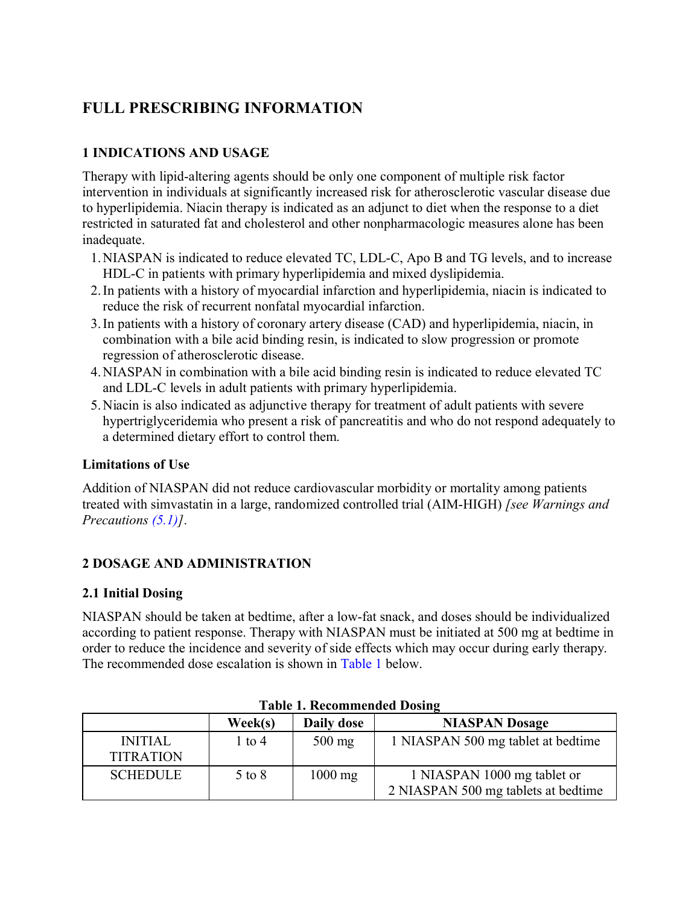# **FULL PRESCRIBING INFORMATION**

## <span id="page-2-0"></span>**1 INDICATIONS AND USAGE**

Therapy with lipid-altering agents should be only one component of multiple risk factor intervention in individuals at significantly increased risk for atherosclerotic vascular disease due to hyperlipidemia. Niacin therapy is indicated as an adjunct to diet when the response to a diet restricted in saturated fat and cholesterol and other nonpharmacologic measures alone has been inadequate.

- 1.NIASPAN is indicated to reduce elevated TC, LDL-C, Apo B and TG levels, and to increase HDL-C in patients with primary hyperlipidemia and mixed dyslipidemia.
- 2.In patients with a history of myocardial infarction and hyperlipidemia, niacin is indicated to reduce the risk of recurrent nonfatal myocardial infarction.
- 3.In patients with a history of coronary artery disease (CAD) and hyperlipidemia, niacin, in combination with a bile acid binding resin, is indicated to slow progression or promote regression of atherosclerotic disease.
- 4.NIASPAN in combination with a bile acid binding resin is indicated to reduce elevated TC and LDL-C levels in adult patients with primary hyperlipidemia.
- 5.Niacin is also indicated as adjunctive therapy for treatment of adult patients with severe hypertriglyceridemia who present a risk of pancreatitis and who do not respond adequately to a determined dietary effort to control them.

## **Limitations of Use**

Addition of NIASPAN did not reduce cardiovascular morbidity or mortality among patients treated with simvastatin in a large, randomized controlled trial (AIM-HIGH) *[see Warnings and Precautions [\(5.1\)\]](#page-4-0)*.

## <span id="page-2-2"></span>**2 DOSAGE AND ADMINISTRATION**

## <span id="page-2-1"></span>**2.1 Initial Dosing**

NIASPAN should be taken at bedtime, after a low-fat snack, and doses should be individualized according to patient response. Therapy with NIASPAN must be initiated at 500 mg at bedtime in order to reduce the incidence and severity of side effects which may occur during early therapy. The recommended dose escalation is shown in [Table 1](#page-2-3) below.

<span id="page-2-3"></span>

|                                    | Week(s)    | Daily dose        | <b>NIASPAN Dosage</b>                                              |
|------------------------------------|------------|-------------------|--------------------------------------------------------------------|
| <b>INITIAL</b><br><b>TITRATION</b> | $1$ to $4$ | $500 \text{ mg}$  | 1 NIASPAN 500 mg tablet at bedtime                                 |
| <b>SCHEDULE</b>                    | $5$ to $8$ | $1000 \text{ mg}$ | 1 NIASPAN 1000 mg tablet or<br>2 NIASPAN 500 mg tablets at bedtime |

### **Table 1. Recommended Dosing**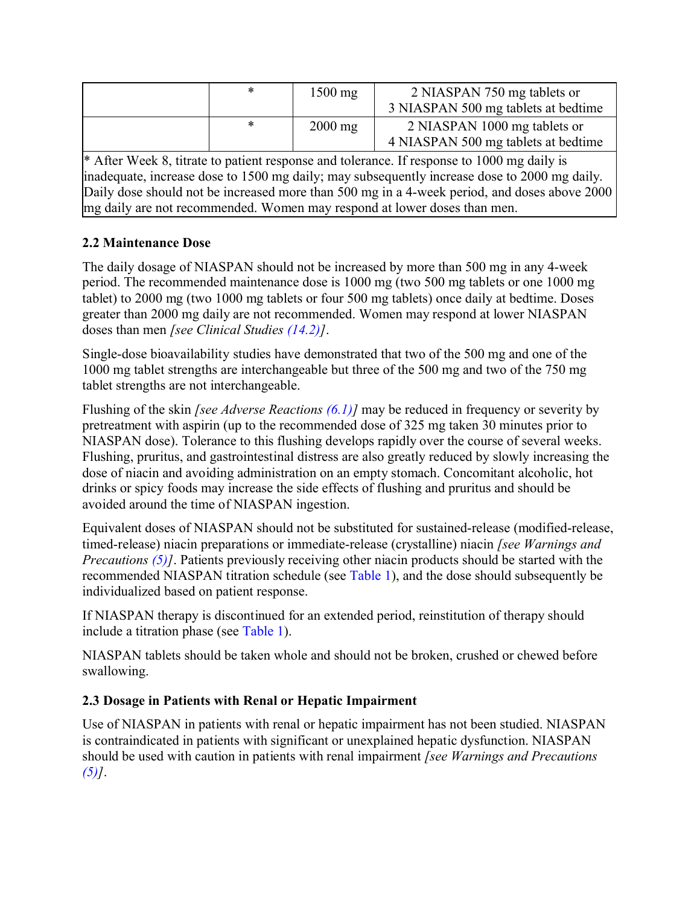| ∗ | $1500 \text{ mg}$ | 2 NIASPAN 750 mg tablets or<br>3 NIASPAN 500 mg tablets at bedtime  |
|---|-------------------|---------------------------------------------------------------------|
| * | $2000$ mg         | 2 NIASPAN 1000 mg tablets or<br>4 NIASPAN 500 mg tablets at bedtime |

\* After Week 8, titrate to patient response and tolerance. If response to 1000 mg daily is inadequate, increase dose to 1500 mg daily; may subsequently increase dose to 2000 mg daily. Daily dose should not be increased more than 500 mg in a 4-week period, and doses above 2000 mg daily are not recommended. Women may respond at lower doses than men.

## <span id="page-3-0"></span>**2.2 Maintenance Dose**

The daily dosage of NIASPAN should not be increased by more than 500 mg in any 4-week period. The recommended maintenance dose is 1000 mg (two 500 mg tablets or one 1000 mg tablet) to 2000 mg (two 1000 mg tablets or four 500 mg tablets) once daily at bedtime. Doses greater than 2000 mg daily are not recommended. Women may respond at lower NIASPAN doses than men *[see Clinical Studies [\(14.2\)\]](#page-15-0)*.

Single-dose bioavailability studies have demonstrated that two of the 500 mg and one of the 1000 mg tablet strengths are interchangeable but three of the 500 mg and two of the 750 mg tablet strengths are not interchangeable.

Flushing of the skin *[see Adverse Reactions [\(6.1\)\]](#page-6-0)* may be reduced in frequency or severity by pretreatment with aspirin (up to the recommended dose of 325 mg taken 30 minutes prior to NIASPAN dose). Tolerance to this flushing develops rapidly over the course of several weeks. Flushing, pruritus, and gastrointestinal distress are also greatly reduced by slowly increasing the dose of niacin and avoiding administration on an empty stomach. Concomitant alcoholic, hot drinks or spicy foods may increase the side effects of flushing and pruritus and should be avoided around the time of NIASPAN ingestion.

Equivalent doses of NIASPAN should not be substituted for sustained-release (modified-release, timed-release) niacin preparations or immediate-release (crystalline) niacin *[see Warnings and Precautions* [\(5\)\]](#page-4-3). Patients previously receiving other niacin products should be started with the recommended NIASPAN titration schedule (see [Table 1\)](#page-2-3), and the dose should subsequently be individualized based on patient response.

If NIASPAN therapy is discontinued for an extended period, reinstitution of therapy should include a titration phase (see [Table 1\)](#page-2-3).

NIASPAN tablets should be taken whole and should not be broken, crushed or chewed before swallowing.

### <span id="page-3-1"></span>**2.3 Dosage in Patients with Renal or Hepatic Impairment**

Use of NIASPAN in patients with renal or hepatic impairment has not been studied. NIASPAN is contraindicated in patients with significant or unexplained hepatic dysfunction. NIASPAN should be used with caution in patients with renal impairment *[see Warnings and Precautions [\(5\)\]](#page-4-3)*.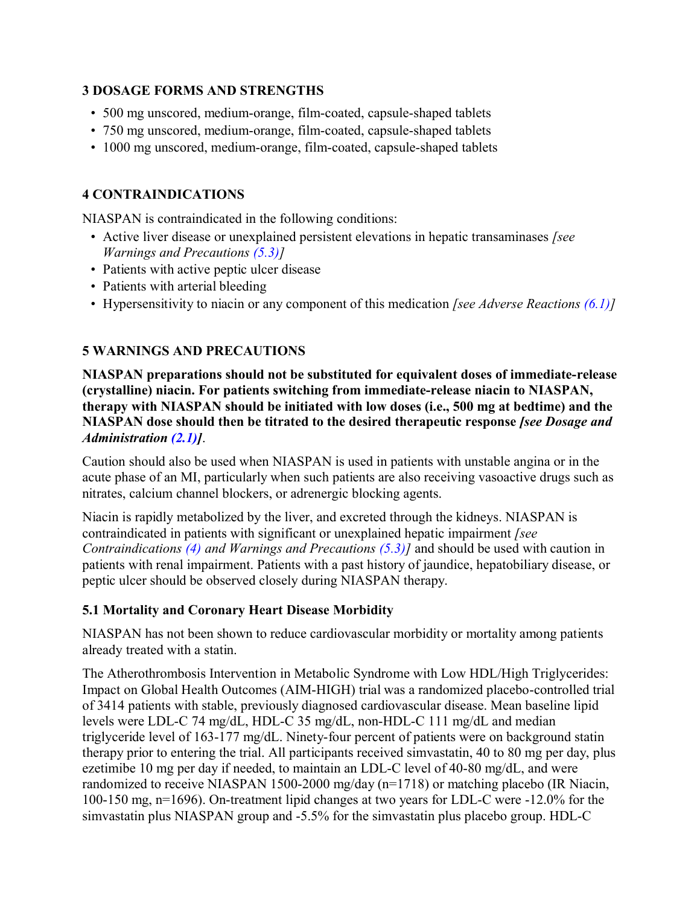### <span id="page-4-1"></span>**3 DOSAGE FORMS AND STRENGTHS**

- 500 mg unscored, medium-orange, film-coated, capsule-shaped tablets
- 750 mg unscored, medium-orange, film-coated, capsule-shaped tablets
- 1000 mg unscored, medium-orange, film-coated, capsule-shaped tablets

#### <span id="page-4-2"></span>**4 CONTRAINDICATIONS**

NIASPAN is contraindicated in the following conditions:

- Active liver disease or unexplained persistent elevations in hepatic transaminases *[see Warnings and Precautions [\(5.3\)\]](#page-5-0)*
- Patients with active peptic ulcer disease
- Patients with arterial bleeding
- Hypersensitivity to niacin or any component of this medication *[see Adverse Reactions [\(6.1\)\]](#page-6-0)*

### <span id="page-4-3"></span>**5 WARNINGS AND PRECAUTIONS**

**NIASPAN preparations should not be substituted for equivalent doses of immediate-release (crystalline) niacin. For patients switching from immediate-release niacin to NIASPAN, therapy with NIASPAN should be initiated with low doses (i.e., 500 mg at bedtime) and the NIASPAN dose should then be titrated to the desired therapeutic response** *[see Dosage and Administration [\(2.1\)\]](#page-2-1)*.

Caution should also be used when NIASPAN is used in patients with unstable angina or in the acute phase of an MI, particularly when such patients are also receiving vasoactive drugs such as nitrates, calcium channel blockers, or adrenergic blocking agents.

Niacin is rapidly metabolized by the liver, and excreted through the kidneys. NIASPAN is contraindicated in patients with significant or unexplained hepatic impairment *[see Contraindications [\(4\)](#page-4-2) and Warnings and Precautions [\(5.3\)\]](#page-5-0)* and should be used with caution in patients with renal impairment. Patients with a past history of jaundice, hepatobiliary disease, or peptic ulcer should be observed closely during NIASPAN therapy.

### <span id="page-4-0"></span>**5.1 Mortality and Coronary Heart Disease Morbidity**

NIASPAN has not been shown to reduce cardiovascular morbidity or mortality among patients already treated with a statin.

The Atherothrombosis Intervention in Metabolic Syndrome with Low HDL/High Triglycerides: Impact on Global Health Outcomes (AIM-HIGH) trial was a randomized placebo-controlled trial of 3414 patients with stable, previously diagnosed cardiovascular disease. Mean baseline lipid levels were LDL-C 74 mg/dL, HDL-C 35 mg/dL, non-HDL-C 111 mg/dL and median triglyceride level of 163-177 mg/dL. Ninety-four percent of patients were on background statin therapy prior to entering the trial. All participants received simvastatin, 40 to 80 mg per day, plus ezetimibe 10 mg per day if needed, to maintain an LDL-C level of 40-80 mg/dL, and were randomized to receive NIASPAN 1500-2000 mg/day (n=1718) or matching placebo (IR Niacin, 100-150 mg, n=1696). On-treatment lipid changes at two years for LDL-C were -12.0% for the simvastatin plus NIASPAN group and -5.5% for the simvastatin plus placebo group. HDL-C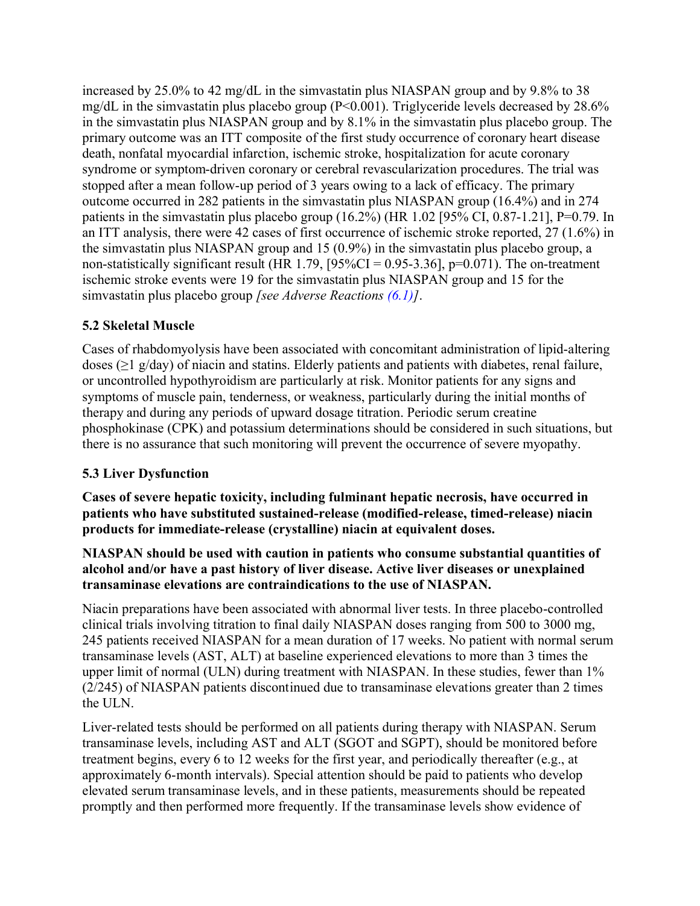increased by 25.0% to 42 mg/dL in the simvastatin plus NIASPAN group and by 9.8% to 38 mg/dL in the simvastatin plus placebo group (P<0.001). Triglyceride levels decreased by 28.6% in the simvastatin plus NIASPAN group and by 8.1% in the simvastatin plus placebo group. The primary outcome was an ITT composite of the first study occurrence of coronary heart disease death, nonfatal myocardial infarction, ischemic stroke, hospitalization for acute coronary syndrome or symptom-driven coronary or cerebral revascularization procedures. The trial was stopped after a mean follow-up period of 3 years owing to a lack of efficacy. The primary outcome occurred in 282 patients in the simvastatin plus NIASPAN group (16.4%) and in 274 patients in the simvastatin plus placebo group (16.2%) (HR 1.02 [95% CI, 0.87-1.21], P=0.79. In an ITT analysis, there were 42 cases of first occurrence of ischemic stroke reported, 27 (1.6%) in the simvastatin plus NIASPAN group and 15 (0.9%) in the simvastatin plus placebo group, a non-statistically significant result (HR 1.79,  $[95\%CI = 0.95-3.36]$ ,  $p=0.071$ ). The on-treatment ischemic stroke events were 19 for the simvastatin plus NIASPAN group and 15 for the simvastatin plus placebo group *[see Adverse Reactions [\(6.1\)\]](#page-6-0)*.

## <span id="page-5-1"></span>**5.2 Skeletal Muscle**

Cases of rhabdomyolysis have been associated with concomitant administration of lipid-altering doses ( $\geq$ 1 g/day) of niacin and statins. Elderly patients and patients with diabetes, renal failure, or uncontrolled hypothyroidism are particularly at risk. Monitor patients for any signs and symptoms of muscle pain, tenderness, or weakness, particularly during the initial months of therapy and during any periods of upward dosage titration. Periodic serum creatine phosphokinase (CPK) and potassium determinations should be considered in such situations, but there is no assurance that such monitoring will prevent the occurrence of severe myopathy.

## <span id="page-5-0"></span>**5.3 Liver Dysfunction**

**Cases of severe hepatic toxicity, including fulminant hepatic necrosis, have occurred in patients who have substituted sustained-release (modified-release, timed-release) niacin products for immediate-release (crystalline) niacin at equivalent doses.**

**NIASPAN should be used with caution in patients who consume substantial quantities of alcohol and/or have a past history of liver disease. Active liver diseases or unexplained transaminase elevations are contraindications to the use of NIASPAN.**

Niacin preparations have been associated with abnormal liver tests. In three placebo-controlled clinical trials involving titration to final daily NIASPAN doses ranging from 500 to 3000 mg, 245 patients received NIASPAN for a mean duration of 17 weeks. No patient with normal serum transaminase levels (AST, ALT) at baseline experienced elevations to more than 3 times the upper limit of normal (ULN) during treatment with NIASPAN. In these studies, fewer than 1% (2/245) of NIASPAN patients discontinued due to transaminase elevations greater than 2 times the ULN.

Liver-related tests should be performed on all patients during therapy with NIASPAN. Serum transaminase levels, including AST and ALT (SGOT and SGPT), should be monitored before treatment begins, every 6 to 12 weeks for the first year, and periodically thereafter (e.g., at approximately 6-month intervals). Special attention should be paid to patients who develop elevated serum transaminase levels, and in these patients, measurements should be repeated promptly and then performed more frequently. If the transaminase levels show evidence of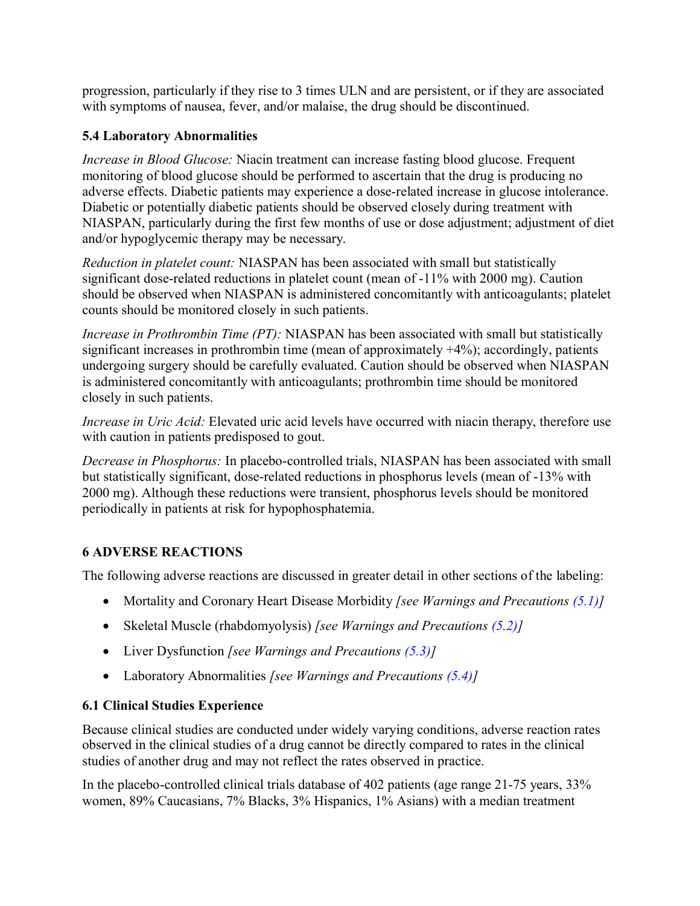progression, particularly if they rise to 3 times ULN and are persistent, or if they are associated with symptoms of nausea, fever, and/or malaise, the drug should be discontinued.

## <span id="page-6-1"></span>**5.4 Laboratory Abnormalities**

*Increase in Blood Glucose:* Niacin treatment can increase fasting blood glucose. Frequent monitoring of blood glucose should be performed to ascertain that the drug is producing no adverse effects. Diabetic patients may experience a dose-related increase in glucose intolerance. Diabetic or potentially diabetic patients should be observed closely during treatment with NIASPAN, particularly during the first few months of use or dose adjustment; adjustment of diet and/or hypoglycemic therapy may be necessary.

*Reduction in platelet count:* NIASPAN has been associated with small but statistically significant dose-related reductions in platelet count (mean of -11% with 2000 mg). Caution should be observed when NIASPAN is administered concomitantly with anticoagulants; platelet counts should be monitored closely in such patients.

*Increase in Prothrombin Time (PT):* NIASPAN has been associated with small but statistically significant increases in prothrombin time (mean of approximately +4%); accordingly, patients undergoing surgery should be carefully evaluated. Caution should be observed when NIASPAN is administered concomitantly with anticoagulants; prothrombin time should be monitored closely in such patients.

*Increase in Uric Acid:* Elevated uric acid levels have occurred with niacin therapy, therefore use with caution in patients predisposed to gout.

*Decrease in Phosphorus:* In placebo-controlled trials, NIASPAN has been associated with small but statistically significant, dose-related reductions in phosphorus levels (mean of -13% with 2000 mg). Although these reductions were transient, phosphorus levels should be monitored periodically in patients at risk for hypophosphatemia.

## <span id="page-6-2"></span>**6 ADVERSE REACTIONS**

The following adverse reactions are discussed in greater detail in other sections of the labeling:

- Mortality and Coronary Heart Disease Morbidity *[see Warnings and Precautions [\(5.1\)\]](#page-4-0)*
- Skeletal Muscle (rhabdomyolysis) *[see Warnings and Precautions [\(5.2\)\]](#page-5-1)*
- Liver Dysfunction *[see Warnings and Precautions [\(5.3\)\]](#page-5-0)*
- Laboratory Abnormalities *[see Warnings and Precautions [\(5.4\)\]](#page-6-1)*

## <span id="page-6-0"></span>**6.1 Clinical Studies Experience**

Because clinical studies are conducted under widely varying conditions, adverse reaction rates observed in the clinical studies of a drug cannot be directly compared to rates in the clinical studies of another drug and may not reflect the rates observed in practice.

In the placebo-controlled clinical trials database of 402 patients (age range 21-75 years, 33% women, 89% Caucasians, 7% Blacks, 3% Hispanics, 1% Asians) with a median treatment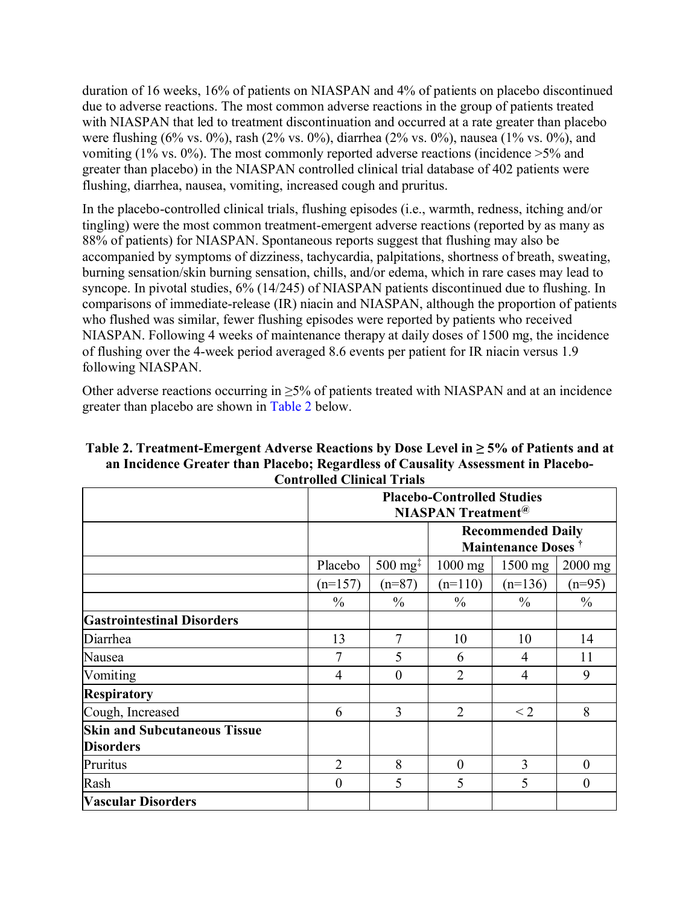duration of 16 weeks, 16% of patients on NIASPAN and 4% of patients on placebo discontinued due to adverse reactions. The most common adverse reactions in the group of patients treated with NIASPAN that led to treatment discontinuation and occurred at a rate greater than placebo were flushing (6% vs. 0%), rash (2% vs. 0%), diarrhea (2% vs. 0%), nausea (1% vs. 0%), and vomiting (1% vs. 0%). The most commonly reported adverse reactions (incidence >5% and greater than placebo) in the NIASPAN controlled clinical trial database of 402 patients were flushing, diarrhea, nausea, vomiting, increased cough and pruritus.

In the placebo-controlled clinical trials, flushing episodes (i.e., warmth, redness, itching and/or tingling) were the most common treatment-emergent adverse reactions (reported by as many as 88% of patients) for NIASPAN. Spontaneous reports suggest that flushing may also be accompanied by symptoms of dizziness, tachycardia, palpitations, shortness of breath, sweating, burning sensation/skin burning sensation, chills, and/or edema, which in rare cases may lead to syncope. In pivotal studies, 6% (14/245) of NIASPAN patients discontinued due to flushing. In comparisons of immediate-release (IR) niacin and NIASPAN, although the proportion of patients who flushed was similar, fewer flushing episodes were reported by patients who received NIASPAN. Following 4 weeks of maintenance therapy at daily doses of 1500 mg, the incidence of flushing over the 4-week period averaged 8.6 events per patient for IR niacin versus 1.9 following NIASPAN.

Other adverse reactions occurring in  $\geq$ 5% of patients treated with NIASPAN and at an incidence greater than placebo are shown in [Table 2](#page-7-0) below.

| <b>Controlled Clinical Trials</b>                       |                                                                            |                             |                |                                                            |               |  |  |  |  |
|---------------------------------------------------------|----------------------------------------------------------------------------|-----------------------------|----------------|------------------------------------------------------------|---------------|--|--|--|--|
|                                                         | <b>Placebo-Controlled Studies</b><br><b>NIASPAN Treatment</b> <sup>@</sup> |                             |                |                                                            |               |  |  |  |  |
|                                                         |                                                                            |                             |                | <b>Recommended Daily</b><br>Maintenance Doses <sup>†</sup> |               |  |  |  |  |
|                                                         | Placebo                                                                    | $500 \text{ mg}^{\ddagger}$ | $1000$ mg      | 1500 mg                                                    | $2000$ mg     |  |  |  |  |
|                                                         | $(n=157)$                                                                  | $(n=87)$                    | $(n=110)$      | $(n=136)$                                                  | $(n=95)$      |  |  |  |  |
|                                                         | $\frac{0}{0}$                                                              | $\frac{0}{0}$               | $\%$           | $\frac{0}{0}$                                              | $\frac{0}{0}$ |  |  |  |  |
| <b>Gastrointestinal Disorders</b>                       |                                                                            |                             |                |                                                            |               |  |  |  |  |
| Diarrhea                                                | 13                                                                         | 7                           | 10             | 10                                                         | 14            |  |  |  |  |
| Nausea                                                  |                                                                            | 5                           | 6              | 4                                                          | 11            |  |  |  |  |
| Vomiting                                                | 4                                                                          | $\theta$                    | 2              | 4                                                          | 9             |  |  |  |  |
| <b>Respiratory</b>                                      |                                                                            |                             |                |                                                            |               |  |  |  |  |
| Cough, Increased                                        | 6                                                                          | 3                           | $\overline{2}$ | $\leq$ 2                                                   | 8             |  |  |  |  |
| <b>Skin and Subcutaneous Tissue</b><br><b>Disorders</b> |                                                                            |                             |                |                                                            |               |  |  |  |  |
| Pruritus                                                | $\overline{2}$                                                             | 8                           | $\theta$       | 3                                                          | $\theta$      |  |  |  |  |
| Rash                                                    | $\theta$                                                                   | 5                           | 5              | 5                                                          | $\theta$      |  |  |  |  |
| <b>Vascular Disorders</b>                               |                                                                            |                             |                |                                                            |               |  |  |  |  |

# <span id="page-7-0"></span>**Table 2. Treatment-Emergent Adverse Reactions by Dose Level in ≥ 5% of Patients and at an Incidence Greater than Placebo; Regardless of Causality Assessment in Placebo-**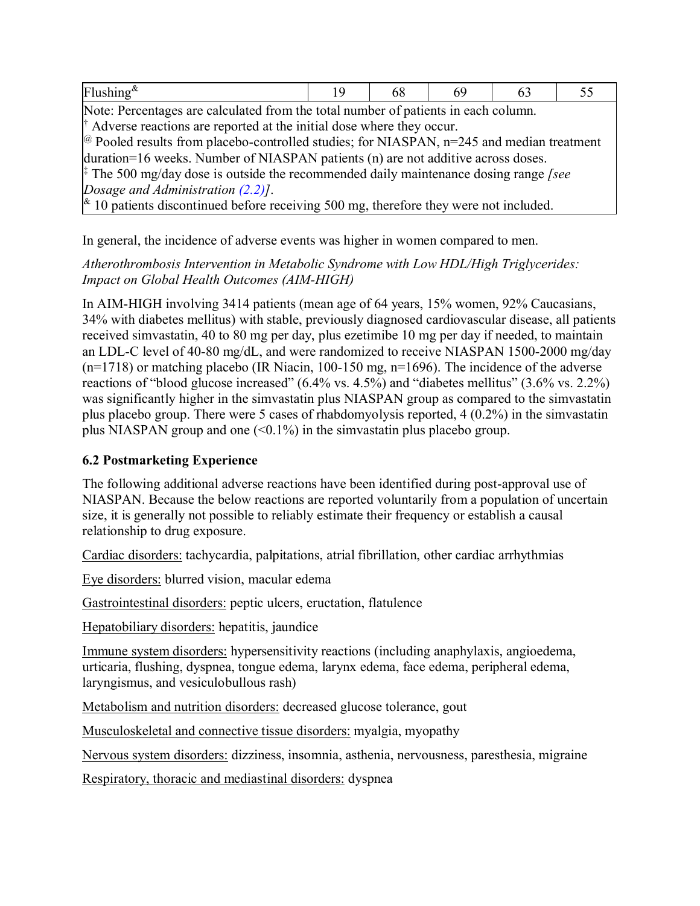| $Flushing$ <sup>&amp;</sup>                                                                              | 19                                                                               | 68 | 69 | 63 |  |  |  |  |  |
|----------------------------------------------------------------------------------------------------------|----------------------------------------------------------------------------------|----|----|----|--|--|--|--|--|
| Note: Percentages are calculated from the total number of patients in each column.                       |                                                                                  |    |    |    |  |  |  |  |  |
| $\ $ <sup>†</sup> Adverse reactions are reported at the initial dose where they occur.                   |                                                                                  |    |    |    |  |  |  |  |  |
| <sup>[@</sup> Pooled results from placebo-controlled studies; for NIASPAN, $n=245$ and median treatment  |                                                                                  |    |    |    |  |  |  |  |  |
|                                                                                                          | duration=16 weeks. Number of NIASPAN patients (n) are not additive across doses. |    |    |    |  |  |  |  |  |
| <sup>†</sup> The 500 mg/day dose is outside the recommended daily maintenance dosing range <i>[see</i> ] |                                                                                  |    |    |    |  |  |  |  |  |
| Dosage and Administration $(2.2)$ .                                                                      |                                                                                  |    |    |    |  |  |  |  |  |
| $\frac{1}{2}$ 10 patients discontinued before receiving 500 mg, therefore they were not included.        |                                                                                  |    |    |    |  |  |  |  |  |

In general, the incidence of adverse events was higher in women compared to men.

### *Atherothrombosis Intervention in Metabolic Syndrome with Low HDL/High Triglycerides: Impact on Global Health Outcomes (AIM-HIGH)*

In AIM-HIGH involving 3414 patients (mean age of 64 years, 15% women, 92% Caucasians, 34% with diabetes mellitus) with stable, previously diagnosed cardiovascular disease, all patients received simvastatin, 40 to 80 mg per day, plus ezetimibe 10 mg per day if needed, to maintain an LDL-C level of 40-80 mg/dL, and were randomized to receive NIASPAN 1500-2000 mg/day (n=1718) or matching placebo (IR Niacin, 100-150 mg, n=1696). The incidence of the adverse reactions of "blood glucose increased" (6.4% vs. 4.5%) and "diabetes mellitus" (3.6% vs. 2.2%) was significantly higher in the simvastatin plus NIASPAN group as compared to the simvastatin plus placebo group. There were 5 cases of rhabdomyolysis reported, 4 (0.2%) in the simvastatin plus NIASPAN group and one  $( $0.1\%$ )$  in the simvastatin plus placebo group.

## <span id="page-8-0"></span>**6.2 Postmarketing Experience**

The following additional adverse reactions have been identified during post-approval use of NIASPAN. Because the below reactions are reported voluntarily from a population of uncertain size, it is generally not possible to reliably estimate their frequency or establish a causal relationship to drug exposure.

Cardiac disorders: tachycardia, palpitations, atrial fibrillation, other cardiac arrhythmias

Eye disorders: blurred vision, macular edema

Gastrointestinal disorders: peptic ulcers, eructation, flatulence

Hepatobiliary disorders: hepatitis, jaundice

Immune system disorders: hypersensitivity reactions (including anaphylaxis, angioedema, urticaria, flushing, dyspnea, tongue edema, larynx edema, face edema, peripheral edema, laryngismus, and vesiculobullous rash)

Metabolism and nutrition disorders: decreased glucose tolerance, gout

Musculoskeletal and connective tissue disorders: myalgia, myopathy

Nervous system disorders: dizziness, insomnia, asthenia, nervousness, paresthesia, migraine

Respiratory, thoracic and mediastinal disorders: dyspnea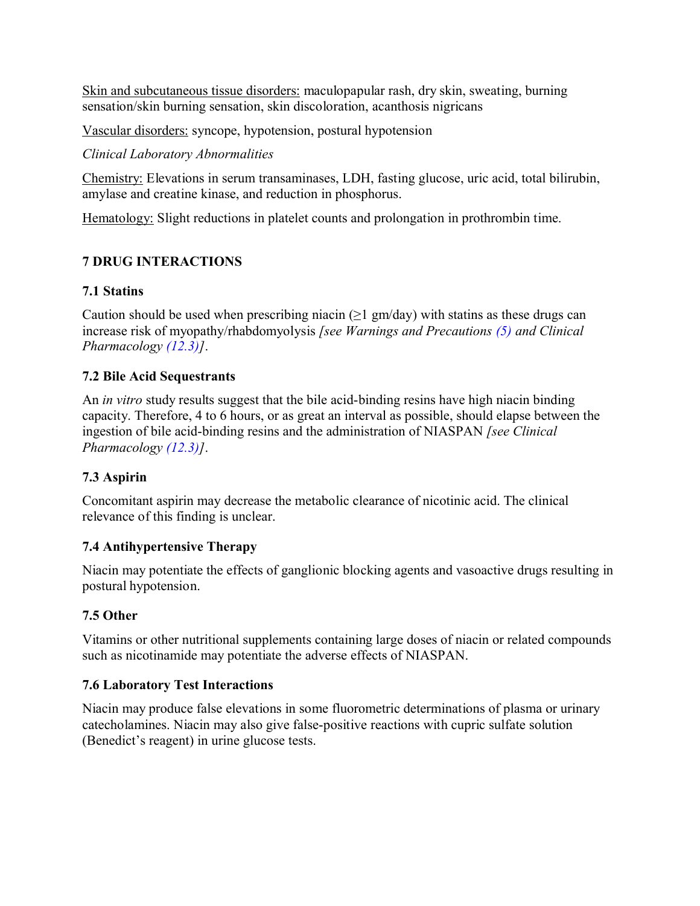Skin and subcutaneous tissue disorders: maculopapular rash, dry skin, sweating, burning sensation/skin burning sensation, skin discoloration, acanthosis nigricans

Vascular disorders: syncope, hypotension, postural hypotension

*Clinical Laboratory Abnormalities*

Chemistry: Elevations in serum transaminases, LDH, fasting glucose, uric acid, total bilirubin, amylase and creatine kinase, and reduction in phosphorus.

<span id="page-9-2"></span>Hematology: Slight reductions in platelet counts and prolongation in prothrombin time.

## **7 DRUG INTERACTIONS**

### <span id="page-9-0"></span>**7.1 Statins**

Caution should be used when prescribing niacin ( $\geq 1$  gm/day) with statins as these drugs can increase risk of myopathy/rhabdomyolysis *[see Warnings and Precautions [\(5\)](#page-4-3) and Clinical Pharmacology [\(12.3\)\]](#page-12-0)*.

### <span id="page-9-1"></span>**7.2 Bile Acid Sequestrants**

An *in vitro* study results suggest that the bile acid-binding resins have high niacin binding capacity. Therefore, 4 to 6 hours, or as great an interval as possible, should elapse between the ingestion of bile acid-binding resins and the administration of NIASPAN *[see Clinical Pharmacology [\(12.3\)\]](#page-12-0)*.

### <span id="page-9-3"></span>**7.3 Aspirin**

Concomitant aspirin may decrease the metabolic clearance of nicotinic acid. The clinical relevance of this finding is unclear.

### <span id="page-9-4"></span>**7.4 Antihypertensive Therapy**

Niacin may potentiate the effects of ganglionic blocking agents and vasoactive drugs resulting in postural hypotension.

### <span id="page-9-5"></span>**7.5 Other**

Vitamins or other nutritional supplements containing large doses of niacin or related compounds such as nicotinamide may potentiate the adverse effects of NIASPAN.

### <span id="page-9-6"></span>**7.6 Laboratory Test Interactions**

Niacin may produce false elevations in some fluorometric determinations of plasma or urinary catecholamines. Niacin may also give false-positive reactions with cupric sulfate solution (Benedict's reagent) in urine glucose tests.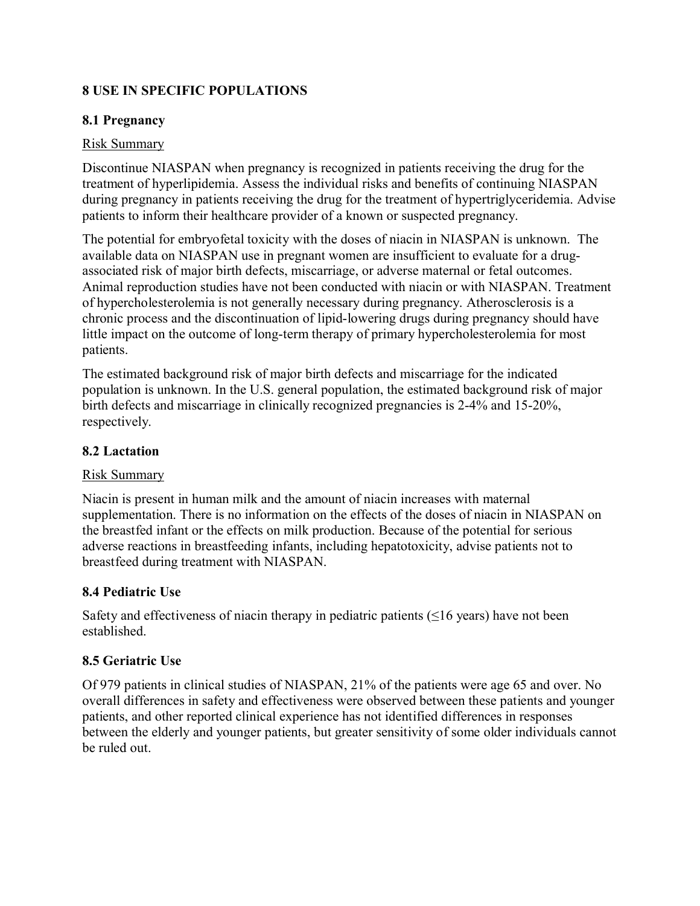### <span id="page-10-2"></span>**8 USE IN SPECIFIC POPULATIONS**

### <span id="page-10-0"></span>**8.1 Pregnancy**

### Risk Summary

Discontinue NIASPAN when pregnancy is recognized in patients receiving the drug for the treatment of hyperlipidemia. Assess the individual risks and benefits of continuing NIASPAN during pregnancy in patients receiving the drug for the treatment of hypertriglyceridemia. Advise patients to inform their healthcare provider of a known or suspected pregnancy.

The potential for embryofetal toxicity with the doses of niacin in NIASPAN is unknown. The available data on NIASPAN use in pregnant women are insufficient to evaluate for a drugassociated risk of major birth defects, miscarriage, or adverse maternal or fetal outcomes. Animal reproduction studies have not been conducted with niacin or with NIASPAN. Treatment of hypercholesterolemia is not generally necessary during pregnancy. Atherosclerosis is a chronic process and the discontinuation of lipid-lowering drugs during pregnancy should have little impact on the outcome of long-term therapy of primary hypercholesterolemia for most patients.

The estimated background risk of major birth defects and miscarriage for the indicated population is unknown. In the U.S. general population, the estimated background risk of major birth defects and miscarriage in clinically recognized pregnancies is 2-4% and 15-20%, respectively.

### <span id="page-10-1"></span>**8.2 Lactation**

### Risk Summary

Niacin is present in human milk and the amount of niacin increases with maternal supplementation. There is no information on the effects of the doses of niacin in NIASPAN on the breastfed infant or the effects on milk production. Because of the potential for serious adverse reactions in breastfeeding infants, including hepatotoxicity, advise patients not to breastfeed during treatment with NIASPAN.

## <span id="page-10-3"></span>**8.4 Pediatric Use**

Safety and effectiveness of niacin therapy in pediatric patients  $(\leq 16 \text{ years})$  have not been established.

## <span id="page-10-4"></span>**8.5 Geriatric Use**

Of 979 patients in clinical studies of NIASPAN, 21% of the patients were age 65 and over. No overall differences in safety and effectiveness were observed between these patients and younger patients, and other reported clinical experience has not identified differences in responses between the elderly and younger patients, but greater sensitivity of some older individuals cannot be ruled out.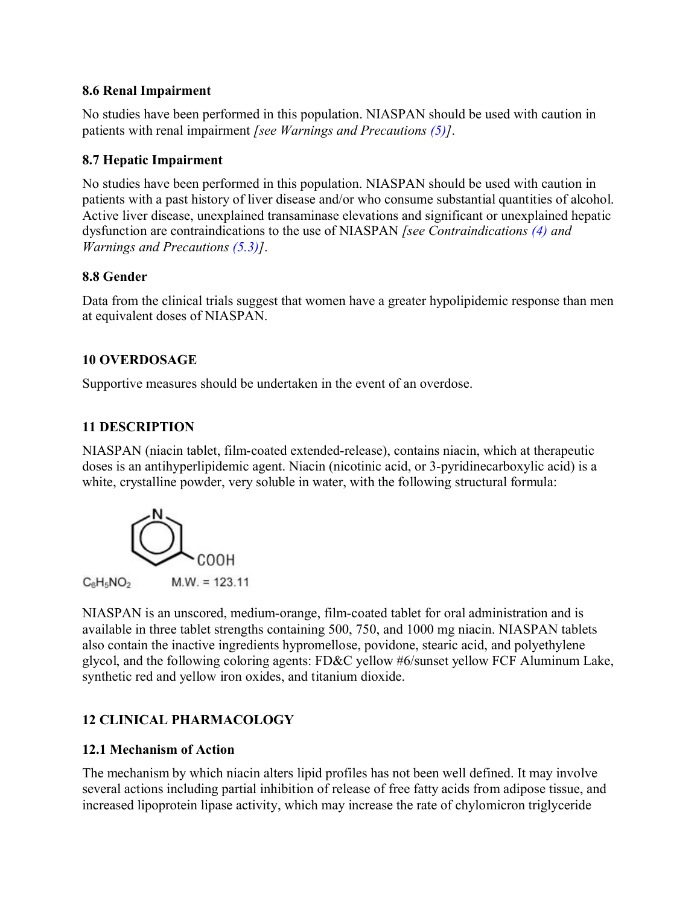#### <span id="page-11-0"></span>**8.6 Renal Impairment**

No studies have been performed in this population. NIASPAN should be used with caution in patients with renal impairment *[see Warnings and Precautions [\(5\)\]](#page-4-3)*.

### <span id="page-11-1"></span>**8.7 Hepatic Impairment**

No studies have been performed in this population. NIASPAN should be used with caution in patients with a past history of liver disease and/or who consume substantial quantities of alcohol. Active liver disease, unexplained transaminase elevations and significant or unexplained hepatic dysfunction are contraindications to the use of NIASPAN *[see Contraindications [\(4\)](#page-4-2) and Warnings and Precautions [\(5.3\)\]](#page-5-0)*.

### <span id="page-11-2"></span>**8.8 Gender**

Data from the clinical trials suggest that women have a greater hypolipidemic response than men at equivalent doses of NIASPAN.

### <span id="page-11-3"></span>**10 OVERDOSAGE**

<span id="page-11-4"></span>Supportive measures should be undertaken in the event of an overdose.

### **11 DESCRIPTION**

NIASPAN (niacin tablet, film-coated extended-release), contains niacin, which at therapeutic doses is an antihyperlipidemic agent. Niacin (nicotinic acid, or 3-pyridinecarboxylic acid) is a white, crystalline powder, very soluble in water, with the following structural formula:



NIASPAN is an unscored, medium-orange, film-coated tablet for oral administration and is available in three tablet strengths containing 500, 750, and 1000 mg niacin. NIASPAN tablets also contain the inactive ingredients hypromellose, povidone, stearic acid, and polyethylene glycol, and the following coloring agents: FD&C yellow #6/sunset yellow FCF Aluminum Lake, synthetic red and yellow iron oxides, and titanium dioxide.

## <span id="page-11-5"></span>**12 CLINICAL PHARMACOLOGY**

### <span id="page-11-6"></span>**12.1 Mechanism of Action**

The mechanism by which niacin alters lipid profiles has not been well defined. It may involve several actions including partial inhibition of release of free fatty acids from adipose tissue, and increased lipoprotein lipase activity, which may increase the rate of chylomicron triglyceride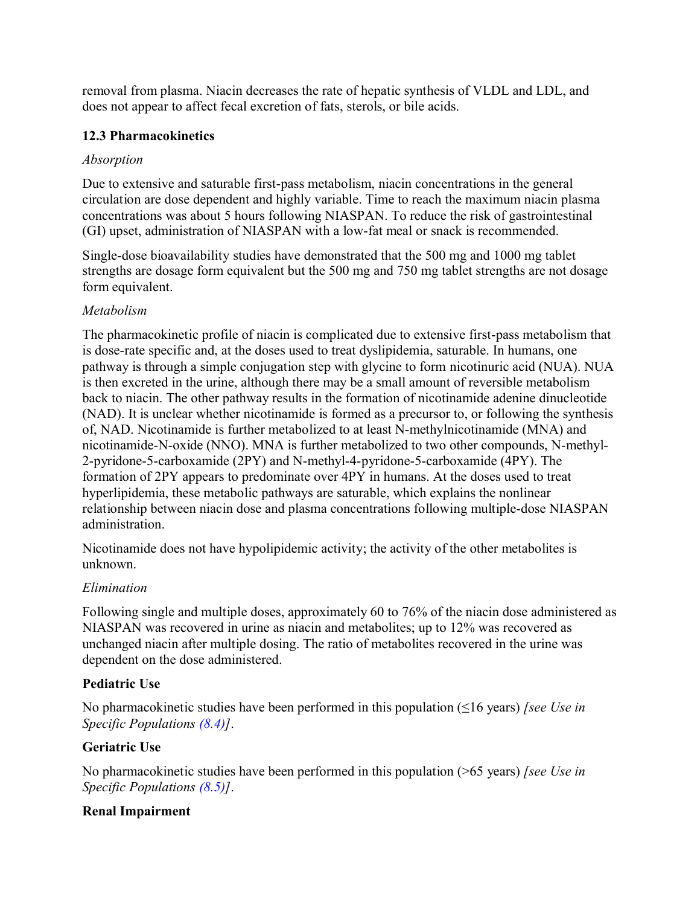removal from plasma. Niacin decreases the rate of hepatic synthesis of VLDL and LDL, and does not appear to affect fecal excretion of fats, sterols, or bile acids.

### <span id="page-12-0"></span>**12.3 Pharmacokinetics**

### *Absorption*

Due to extensive and saturable first-pass metabolism, niacin concentrations in the general circulation are dose dependent and highly variable. Time to reach the maximum niacin plasma concentrations was about 5 hours following NIASPAN. To reduce the risk of gastrointestinal (GI) upset, administration of NIASPAN with a low-fat meal or snack is recommended.

Single-dose bioavailability studies have demonstrated that the 500 mg and 1000 mg tablet strengths are dosage form equivalent but the 500 mg and 750 mg tablet strengths are not dosage form equivalent.

### *Metabolism*

The pharmacokinetic profile of niacin is complicated due to extensive first-pass metabolism that is dose-rate specific and, at the doses used to treat dyslipidemia, saturable. In humans, one pathway is through a simple conjugation step with glycine to form nicotinuric acid (NUA). NUA is then excreted in the urine, although there may be a small amount of reversible metabolism back to niacin. The other pathway results in the formation of nicotinamide adenine dinucleotide (NAD). It is unclear whether nicotinamide is formed as a precursor to, or following the synthesis of, NAD. Nicotinamide is further metabolized to at least N-methylnicotinamide (MNA) and nicotinamide-N-oxide (NNO). MNA is further metabolized to two other compounds, N-methyl-2-pyridone-5-carboxamide (2PY) and N-methyl-4-pyridone-5-carboxamide (4PY). The formation of 2PY appears to predominate over 4PY in humans. At the doses used to treat hyperlipidemia, these metabolic pathways are saturable, which explains the nonlinear relationship between niacin dose and plasma concentrations following multiple-dose NIASPAN administration.

Nicotinamide does not have hypolipidemic activity; the activity of the other metabolites is unknown.

### *Elimination*

Following single and multiple doses, approximately 60 to 76% of the niacin dose administered as NIASPAN was recovered in urine as niacin and metabolites; up to 12% was recovered as unchanged niacin after multiple dosing. The ratio of metabolites recovered in the urine was dependent on the dose administered.

### **Pediatric Use**

No pharmacokinetic studies have been performed in this population (≤16 years) *[see Use in Specific Populations [\(8.4\)\]](#page-10-3)*.

## **Geriatric Use**

No pharmacokinetic studies have been performed in this population (>65 years) *[see Use in Specific Populations [\(8.5\)\]](#page-10-4)*.

## **Renal Impairment**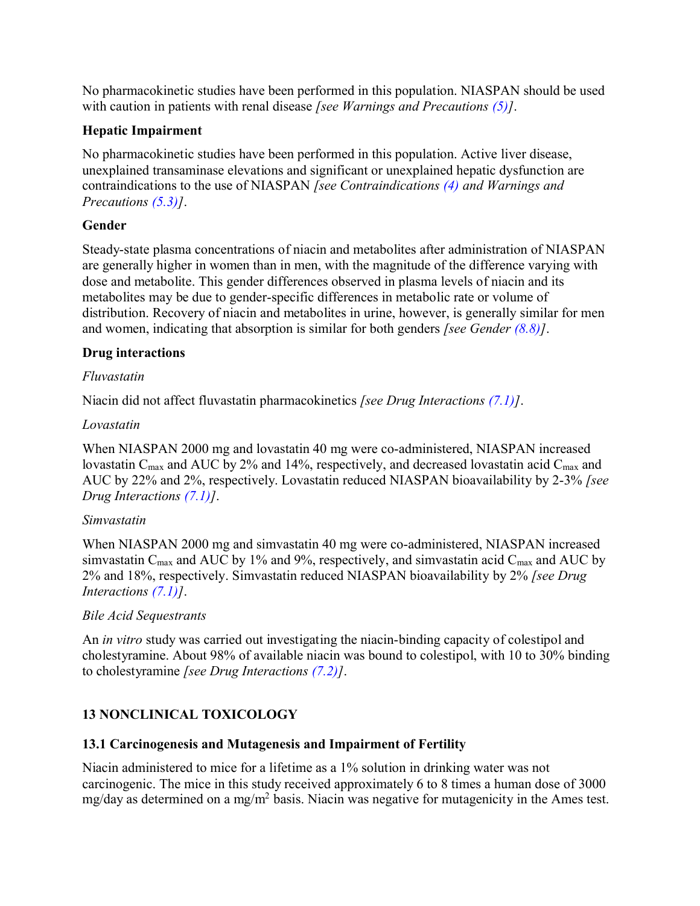No pharmacokinetic studies have been performed in this population. NIASPAN should be used with caution in patients with renal disease *[see Warnings and Precautions [\(5\)\]](#page-4-3)*.

### **Hepatic Impairment**

No pharmacokinetic studies have been performed in this population. Active liver disease, unexplained transaminase elevations and significant or unexplained hepatic dysfunction are contraindications to the use of NIASPAN *[see Contraindications [\(4\)](#page-4-2) and Warnings and Precautions [\(5.3\)\]](#page-5-0)*.

## **Gender**

Steady-state plasma concentrations of niacin and metabolites after administration of NIASPAN are generally higher in women than in men, with the magnitude of the difference varying with dose and metabolite. This gender differences observed in plasma levels of niacin and its metabolites may be due to gender-specific differences in metabolic rate or volume of distribution. Recovery of niacin and metabolites in urine, however, is generally similar for men and women, indicating that absorption is similar for both genders *[see Gender [\(8.8\)\]](#page-11-2)*.

### **Drug interactions**

### *Fluvastatin*

Niacin did not affect fluvastatin pharmacokinetics *[see Drug Interactions [\(7.1\)\]](#page-9-0)*.

### *Lovastatin*

When NIASPAN 2000 mg and lovastatin 40 mg were co-administered, NIASPAN increased lovastatin  $C_{\text{max}}$  and AUC by 2% and 14%, respectively, and decreased lovastatin acid  $C_{\text{max}}$  and AUC by 22% and 2%, respectively. Lovastatin reduced NIASPAN bioavailability by 2-3% *[see Drug Interactions [\(7.1\)\]](#page-9-0)*.

## *Simvastatin*

When NIASPAN 2000 mg and simvastatin 40 mg were co-administered, NIASPAN increased simvastatin  $C_{\text{max}}$  and AUC by 1% and 9%, respectively, and simvastatin acid  $C_{\text{max}}$  and AUC by 2% and 18%, respectively. Simvastatin reduced NIASPAN bioavailability by 2% *[see Drug Interactions [\(7.1\)\]](#page-9-0)*.

## *Bile Acid Sequestrants*

An *in vitro* study was carried out investigating the niacin-binding capacity of colestipol and cholestyramine. About 98% of available niacin was bound to colestipol, with 10 to 30% binding to cholestyramine *[see Drug Interactions [\(7.2\)\]](#page-9-1)*.

## <span id="page-13-0"></span>**13 NONCLINICAL TOXICOLOGY**

## <span id="page-13-1"></span>**13.1 Carcinogenesis and Mutagenesis and Impairment of Fertility**

Niacin administered to mice for a lifetime as a 1% solution in drinking water was not carcinogenic. The mice in this study received approximately 6 to 8 times a human dose of 3000 mg/day as determined on a mg/m<sup>2</sup> basis. Niacin was negative for mutagenicity in the Ames test.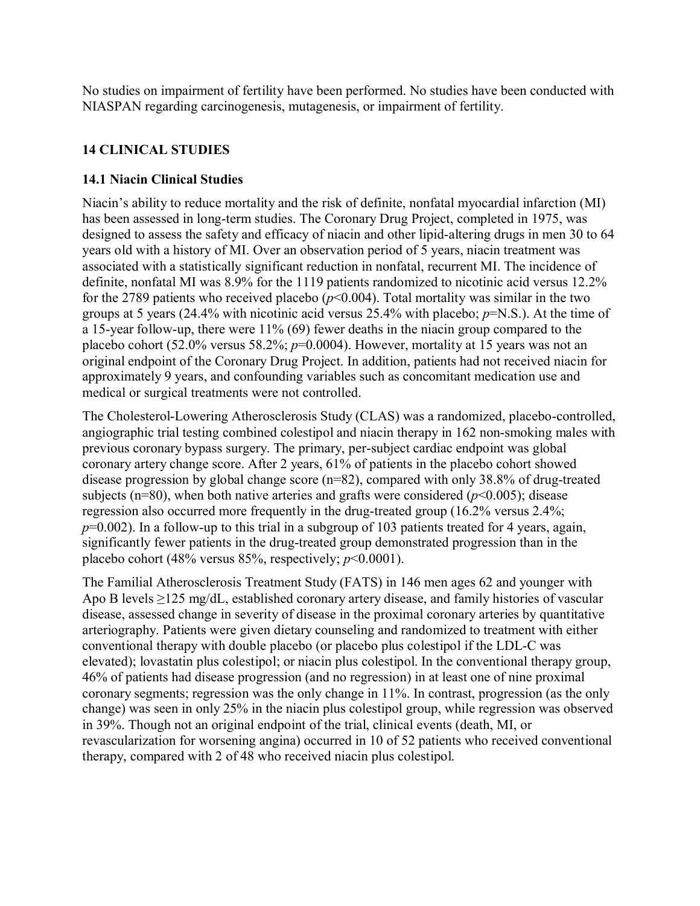No studies on impairment of fertility have been performed. No studies have been conducted with NIASPAN regarding carcinogenesis, mutagenesis, or impairment of fertility.

### <span id="page-14-0"></span>**14 CLINICAL STUDIES**

### <span id="page-14-1"></span>**14.1 Niacin Clinical Studies**

Niacin's ability to reduce mortality and the risk of definite, nonfatal myocardial infarction (MI) has been assessed in long-term studies. The Coronary Drug Project, completed in 1975, was designed to assess the safety and efficacy of niacin and other lipid-altering drugs in men 30 to 64 years old with a history of MI. Over an observation period of 5 years, niacin treatment was associated with a statistically significant reduction in nonfatal, recurrent MI. The incidence of definite, nonfatal MI was 8.9% for the 1119 patients randomized to nicotinic acid versus 12.2% for the 2789 patients who received placebo  $(p< 0.004)$ . Total mortality was similar in the two groups at 5 years (24.4% with nicotinic acid versus 25.4% with placebo; *p*=N.S.). At the time of a 15-year follow-up, there were 11% (69) fewer deaths in the niacin group compared to the placebo cohort (52.0% versus 58.2%; *p*=0.0004). However, mortality at 15 years was not an original endpoint of the Coronary Drug Project. In addition, patients had not received niacin for approximately 9 years, and confounding variables such as concomitant medication use and medical or surgical treatments were not controlled.

The Cholesterol-Lowering Atherosclerosis Study (CLAS) was a randomized, placebo-controlled, angiographic trial testing combined colestipol and niacin therapy in 162 non-smoking males with previous coronary bypass surgery. The primary, per-subject cardiac endpoint was global coronary artery change score. After 2 years, 61% of patients in the placebo cohort showed disease progression by global change score (n=82), compared with only 38.8% of drug-treated subjects ( $n=80$ ), when both native arteries and grafts were considered ( $p<0.005$ ); disease regression also occurred more frequently in the drug-treated group (16.2% versus 2.4%;  $p=0.002$ ). In a follow-up to this trial in a subgroup of 103 patients treated for 4 years, again, significantly fewer patients in the drug-treated group demonstrated progression than in the placebo cohort  $(48\%$  versus  $85\%$ , respectively;  $p<0.0001$ ).

The Familial Atherosclerosis Treatment Study (FATS) in 146 men ages 62 and younger with Apo B levels ≥125 mg/dL, established coronary artery disease, and family histories of vascular disease, assessed change in severity of disease in the proximal coronary arteries by quantitative arteriography. Patients were given dietary counseling and randomized to treatment with either conventional therapy with double placebo (or placebo plus colestipol if the LDL-C was elevated); lovastatin plus colestipol; or niacin plus colestipol. In the conventional therapy group, 46% of patients had disease progression (and no regression) in at least one of nine proximal coronary segments; regression was the only change in 11%. In contrast, progression (as the only change) was seen in only 25% in the niacin plus colestipol group, while regression was observed in 39%. Though not an original endpoint of the trial, clinical events (death, MI, or revascularization for worsening angina) occurred in 10 of 52 patients who received conventional therapy, compared with 2 of 48 who received niacin plus colestipol.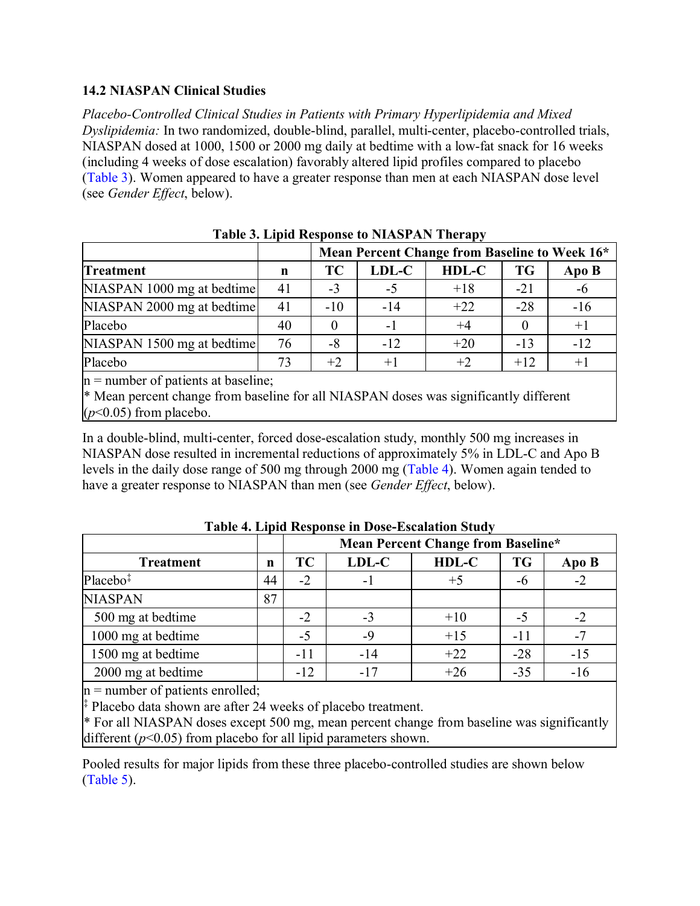### <span id="page-15-0"></span>**14.2 NIASPAN Clinical Studies**

*Placebo-Controlled Clinical Studies in Patients with Primary Hyperlipidemia and Mixed Dyslipidemia:* In two randomized, double-blind, parallel, multi-center, placebo-controlled trials, NIASPAN dosed at 1000, 1500 or 2000 mg daily at bedtime with a low-fat snack for 16 weeks (including 4 weeks of dose escalation) favorably altered lipid profiles compared to placebo [\(Table 3\)](#page-15-1). Women appeared to have a greater response than men at each NIASPAN dose level (see *Gender Effect*, below).

<span id="page-15-1"></span>

|                                       | <b>Table 5. Eithig inesponse to Figure All Therapy</b> |                                               |       |       |           |       |  |  |  |  |  |
|---------------------------------------|--------------------------------------------------------|-----------------------------------------------|-------|-------|-----------|-------|--|--|--|--|--|
|                                       |                                                        | Mean Percent Change from Baseline to Week 16* |       |       |           |       |  |  |  |  |  |
| <b>Treatment</b>                      | n                                                      | <b>TC</b>                                     | LDL-C | HDL-C | <b>TG</b> | Apo B |  |  |  |  |  |
| NIASPAN 1000 mg at bedtime            | 41                                                     | $-3$                                          | $-5$  | $+18$ | $-21$     | -6    |  |  |  |  |  |
| NIASPAN 2000 mg at bedtime            | 41                                                     | $-10$                                         | $-14$ | $+22$ | $-28$     | $-16$ |  |  |  |  |  |
| Placebo                               | 40                                                     |                                               |       | $+4$  |           | $+1$  |  |  |  |  |  |
| NIASPAN 1500 mg at bedtime            | 76                                                     | $-8$                                          | $-12$ | $+20$ | $-13$     | $-12$ |  |  |  |  |  |
| Placebo                               | 73                                                     | $+2$                                          | $+1$  | $+2$  | $+12$     | $+1$  |  |  |  |  |  |
| $n =$ number of patients at baseline: |                                                        |                                               |       |       |           |       |  |  |  |  |  |

**Table 3. Lipid Response to NIASPAN Therapy**

n = number of patients at baseline;

\* Mean percent change from baseline for all NIASPAN doses was significantly different  $(p<0.05)$  from placebo.

In a double-blind, multi-center, forced dose-escalation study, monthly 500 mg increases in NIASPAN dose resulted in incremental reductions of approximately 5% in LDL-C and Apo B levels in the daily dose range of 500 mg through 2000 mg [\(Table 4\)](#page-15-2). Women again tended to have a greater response to NIASPAN than men (see *Gender Effect*, below).

<span id="page-15-2"></span>

|                      |    | <b>Mean Percent Change from Baseline*</b> |       |       |       |       |  |  |
|----------------------|----|-------------------------------------------|-------|-------|-------|-------|--|--|
| <b>Treatment</b>     | n  | <b>TC</b>                                 | LDL-C | HDL-C | TG    | Apo B |  |  |
| $Placebo^{\ddagger}$ | 44 | $-2$                                      | - 1   | $+5$  | -6    |       |  |  |
| <b>NIASPAN</b>       | 87 |                                           |       |       |       |       |  |  |
| 500 mg at bedtime    |    | $-2$                                      | -3    | $+10$ | $-5$  | $-2$  |  |  |
| 1000 mg at bedtime   |    | $-5$                                      | -9    | $+15$ | $-11$ | $-7$  |  |  |
| 1500 mg at bedtime   |    | $-11$                                     | $-14$ | $+22$ | $-28$ | $-15$ |  |  |
| 2000 mg at bedtime   |    | $-12$                                     | $-17$ | $+26$ | $-35$ | $-16$ |  |  |
|                      |    |                                           |       |       |       |       |  |  |

**Table 4. Lipid Response in Dose-Escalation Study**

 $n =$  number of patients enrolled;

<sup>‡</sup> Placebo data shown are after 24 weeks of placebo treatment.

\* For all NIASPAN doses except 500 mg, mean percent change from baseline was significantly different  $(p<0.05)$  from placebo for all lipid parameters shown.

Pooled results for major lipids from these three placebo-controlled studies are shown below [\(Table 5\)](#page-16-0).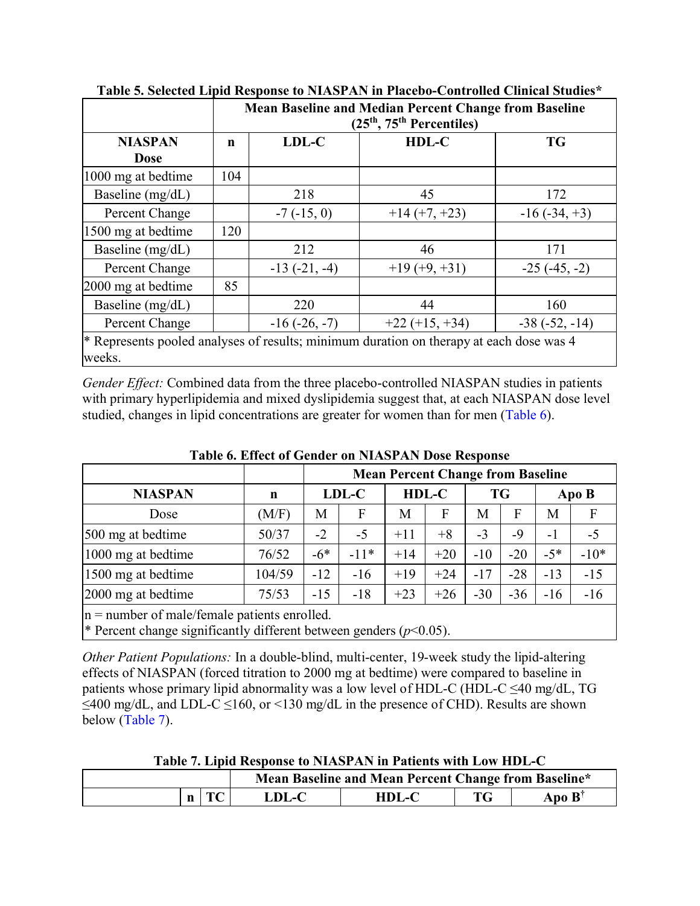|                                                                                                   | <b>Mean Baseline and Median Percent Change from Baseline</b><br>$(25th, 75th Percentiles)$ |                 |                  |                |  |  |  |  |
|---------------------------------------------------------------------------------------------------|--------------------------------------------------------------------------------------------|-----------------|------------------|----------------|--|--|--|--|
| <b>NIASPAN</b>                                                                                    | n                                                                                          | LDL-C           | HDL-C            | <b>TG</b>      |  |  |  |  |
| <b>Dose</b>                                                                                       |                                                                                            |                 |                  |                |  |  |  |  |
| 1000 mg at bedtime                                                                                | 104                                                                                        |                 |                  |                |  |  |  |  |
| Baseline $(mg/dL)$                                                                                |                                                                                            | 218             | 45               | 172            |  |  |  |  |
| Percent Change                                                                                    |                                                                                            | $-7$ $(-15, 0)$ | $+14 (+7, +23)$  | $-16(-34,+3)$  |  |  |  |  |
| 1500 mg at bedtime                                                                                | 120                                                                                        |                 |                  |                |  |  |  |  |
| Baseline (mg/dL)                                                                                  |                                                                                            | 212             | 46               | 171            |  |  |  |  |
| Percent Change                                                                                    |                                                                                            | $-13(-21,-4)$   | $+19 (+9, +31)$  | $-25(-45,-2)$  |  |  |  |  |
| 2000 mg at bedtime                                                                                | 85                                                                                         |                 |                  |                |  |  |  |  |
| Baseline (mg/dL)                                                                                  |                                                                                            | 220             | 44               | 160            |  |  |  |  |
| Percent Change                                                                                    |                                                                                            | $-16(-26,-7)$   | $+22 (+15, +34)$ | $-38(-52,-14)$ |  |  |  |  |
| * Represents pooled analyses of results; minimum duration on therapy at each dose was 4<br>weeks. |                                                                                            |                 |                  |                |  |  |  |  |

<span id="page-16-0"></span>**Table 5. Selected Lipid Response to NIASPAN in Placebo-Controlled Clinical Studies\***

*Gender Effect:* Combined data from the three placebo-controlled NIASPAN studies in patients with primary hyperlipidemia and mixed dyslipidemia suggest that, at each NIASPAN dose level studied, changes in lipid concentrations are greater for women than for men [\(Table 6\)](#page-16-1).

<span id="page-16-1"></span>

|                                                                                                                                      |             | <b>Mean Percent Change from Baseline</b> |                |       |           |       |       |       |        |
|--------------------------------------------------------------------------------------------------------------------------------------|-------------|------------------------------------------|----------------|-------|-----------|-------|-------|-------|--------|
| <b>NIASPAN</b>                                                                                                                       | $\mathbf n$ |                                          | HDL-C<br>LDL-C |       | <b>TG</b> |       |       |       | Apo B  |
| Dose                                                                                                                                 | (M/F)       | M                                        | F              | М     | F         | М     | F     | M     | F      |
| 500 mg at bedtime                                                                                                                    | 50/37       | $-2$                                     | $-5$           | $+11$ | $+8$      | $-3$  | -9    | $-1$  | $-5$   |
| 1000 mg at bedtime                                                                                                                   | 76/52       | $-6*$                                    | $-11*$         | $+14$ | $+20$     | $-10$ | $-20$ | $-5*$ | $-10*$ |
| 1500 mg at bedtime                                                                                                                   | 104/59      | $-12$                                    | $-16$          | $+19$ | $+24$     | $-17$ | $-28$ | $-13$ | $-15$  |
| 2000 mg at bedtime                                                                                                                   | 75/53       | $-15$                                    | $-18$          | $+23$ | $+26$     | $-30$ | $-36$ | $-16$ | $-16$  |
| $ n =$ number of male/female patients enrolled.<br><sup>*</sup> Percent change significantly different between genders ( $p$ <0.05). |             |                                          |                |       |           |       |       |       |        |

## **Table 6. Effect of Gender on NIASPAN Dose Response**

*Other Patient Populations:* In a double-blind, multi-center, 19-week study the lipid-altering effects of NIASPAN (forced titration to 2000 mg at bedtime) were compared to baseline in patients whose primary lipid abnormality was a low level of HDL-C (HDL-C  $\leq 40$  mg/dL, TG  $\leq$ 400 mg/dL, and LDL-C  $\leq$ 160, or  $\leq$ 130 mg/dL in the presence of CHD). Results are shown

below [\(Table 7\)](#page-16-2).

<span id="page-16-2"></span>

|  | Mean Baseline and Mean Percent Change from Baseline* |              |    |        |  |  |
|--|------------------------------------------------------|--------------|----|--------|--|--|
|  | LDL-C                                                | <b>HDL-C</b> | TG | Apo B† |  |  |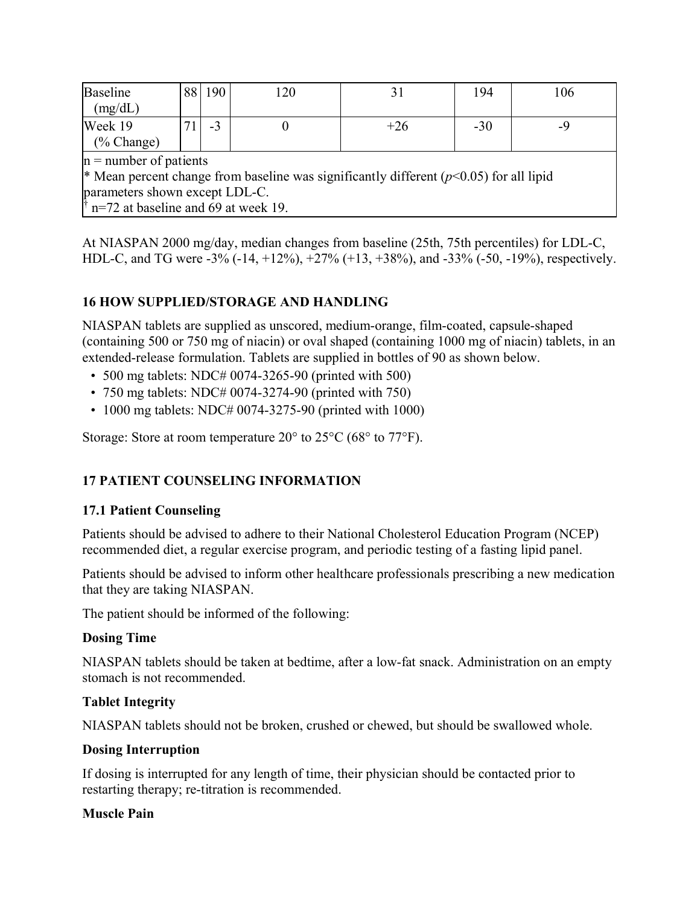| Baseline                                                                                              | 881 | 190  | 120 |       | 194   | 106 |  |  |
|-------------------------------------------------------------------------------------------------------|-----|------|-----|-------|-------|-----|--|--|
| (mg/dL)                                                                                               |     |      |     |       |       |     |  |  |
| Week 19                                                                                               |     | $-3$ |     | $+26$ | $-30$ | -9  |  |  |
| $(\%$ Change)                                                                                         |     |      |     |       |       |     |  |  |
| $n =$ number of patients                                                                              |     |      |     |       |       |     |  |  |
| <sup>*</sup> Mean percent change from baseline was significantly different ( $p$ <0.05) for all lipid |     |      |     |       |       |     |  |  |
| parameters shown except LDL-C.                                                                        |     |      |     |       |       |     |  |  |

† n=72 at baseline and 69 at week 19.

At NIASPAN 2000 mg/day, median changes from baseline (25th, 75th percentiles) for LDL-C, HDL-C, and TG were -3% (-14, +12%), +27% (+13, +38%), and -33% (-50, -19%), respectively.

### <span id="page-17-0"></span>**16 HOW SUPPLIED/STORAGE AND HANDLING**

NIASPAN tablets are supplied as unscored, medium-orange, film-coated, capsule-shaped (containing 500 or 750 mg of niacin) or oval shaped (containing 1000 mg of niacin) tablets, in an extended-release formulation. Tablets are supplied in bottles of 90 as shown below.

- 500 mg tablets: NDC# 0074-3265-90 (printed with 500)
- 750 mg tablets: NDC# 0074-3274-90 (printed with 750)
- 1000 mg tablets: NDC# 0074-3275-90 (printed with 1000)

<span id="page-17-1"></span>Storage: Store at room temperature 20° to 25°C (68° to 77°F).

### **17 PATIENT COUNSELING INFORMATION**

#### <span id="page-17-2"></span>**17.1 Patient Counseling**

Patients should be advised to adhere to their National Cholesterol Education Program (NCEP) recommended diet, a regular exercise program, and periodic testing of a fasting lipid panel.

Patients should be advised to inform other healthcare professionals prescribing a new medication that they are taking NIASPAN.

The patient should be informed of the following:

#### **Dosing Time**

NIASPAN tablets should be taken at bedtime, after a low-fat snack. Administration on an empty stomach is not recommended.

#### **Tablet Integrity**

NIASPAN tablets should not be broken, crushed or chewed, but should be swallowed whole.

#### **Dosing Interruption**

If dosing is interrupted for any length of time, their physician should be contacted prior to restarting therapy; re-titration is recommended.

### **Muscle Pain**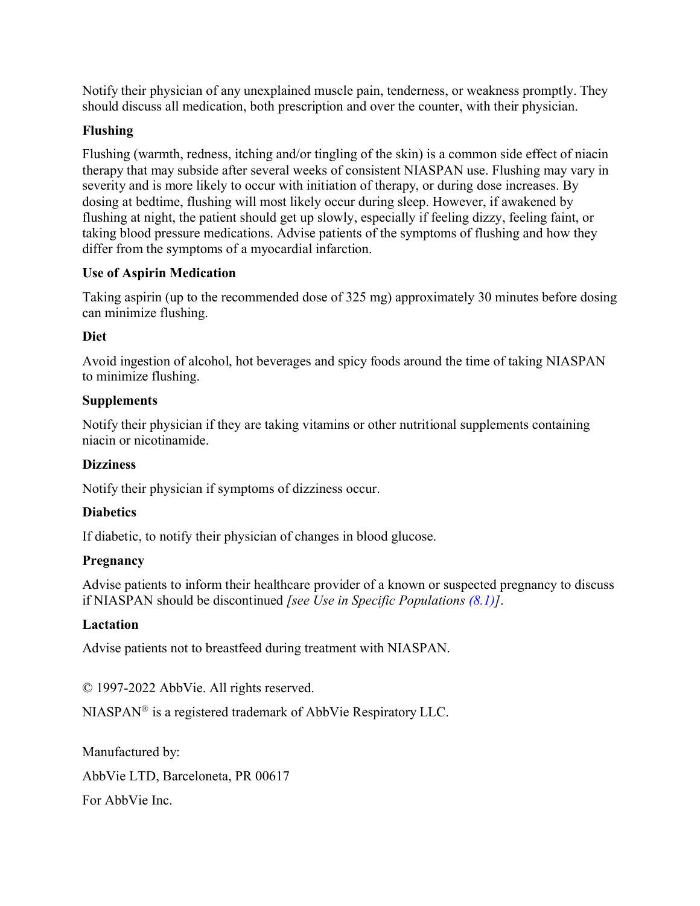Notify their physician of any unexplained muscle pain, tenderness, or weakness promptly. They should discuss all medication, both prescription and over the counter, with their physician.

## **Flushing**

Flushing (warmth, redness, itching and/or tingling of the skin) is a common side effect of niacin therapy that may subside after several weeks of consistent NIASPAN use. Flushing may vary in severity and is more likely to occur with initiation of therapy, or during dose increases. By dosing at bedtime, flushing will most likely occur during sleep. However, if awakened by flushing at night, the patient should get up slowly, especially if feeling dizzy, feeling faint, or taking blood pressure medications. Advise patients of the symptoms of flushing and how they differ from the symptoms of a myocardial infarction.

## **Use of Aspirin Medication**

Taking aspirin (up to the recommended dose of 325 mg) approximately 30 minutes before dosing can minimize flushing.

## **Diet**

Avoid ingestion of alcohol, hot beverages and spicy foods around the time of taking NIASPAN to minimize flushing.

## **Supplements**

Notify their physician if they are taking vitamins or other nutritional supplements containing niacin or nicotinamide.

## **Dizziness**

Notify their physician if symptoms of dizziness occur.

## **Diabetics**

If diabetic, to notify their physician of changes in blood glucose.

## **Pregnancy**

Advise patients to inform their healthcare provider of a known or suspected pregnancy to discuss if NIASPAN should be discontinued *[see Use in Specific Populations [\(8.1\)\]](#page-10-0)*.

## **Lactation**

Advise patients not to breastfeed during treatment with NIASPAN.

© 1997-2022 AbbVie. All rights reserved.

NIASPAN<sup>®</sup> is a registered trademark of AbbVie Respiratory LLC.

Manufactured by:

AbbVie LTD, Barceloneta, PR 00617

For AbbVie Inc.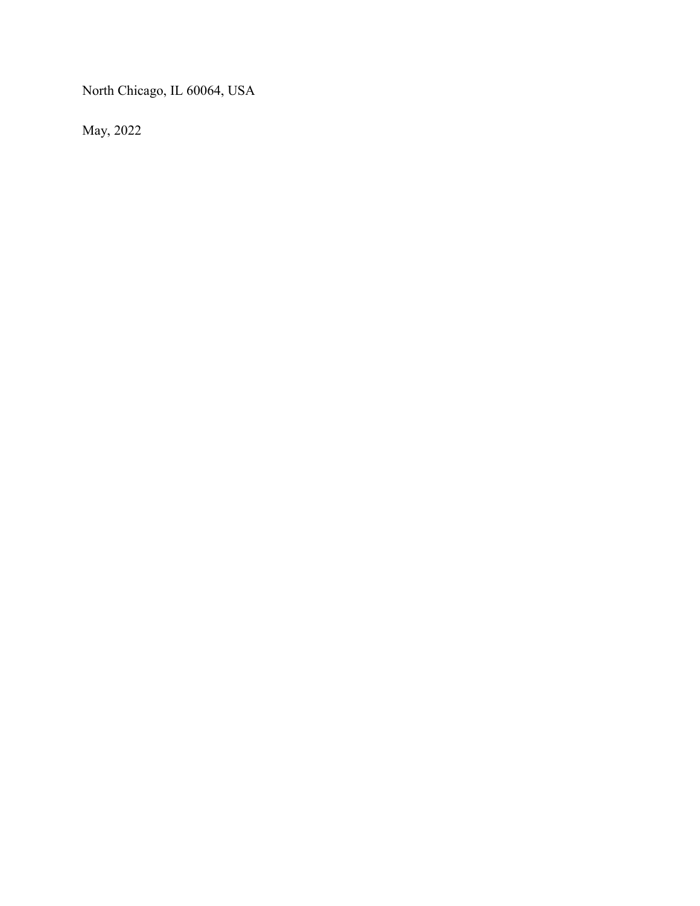North Chicago, IL 60064, USA

May, 2022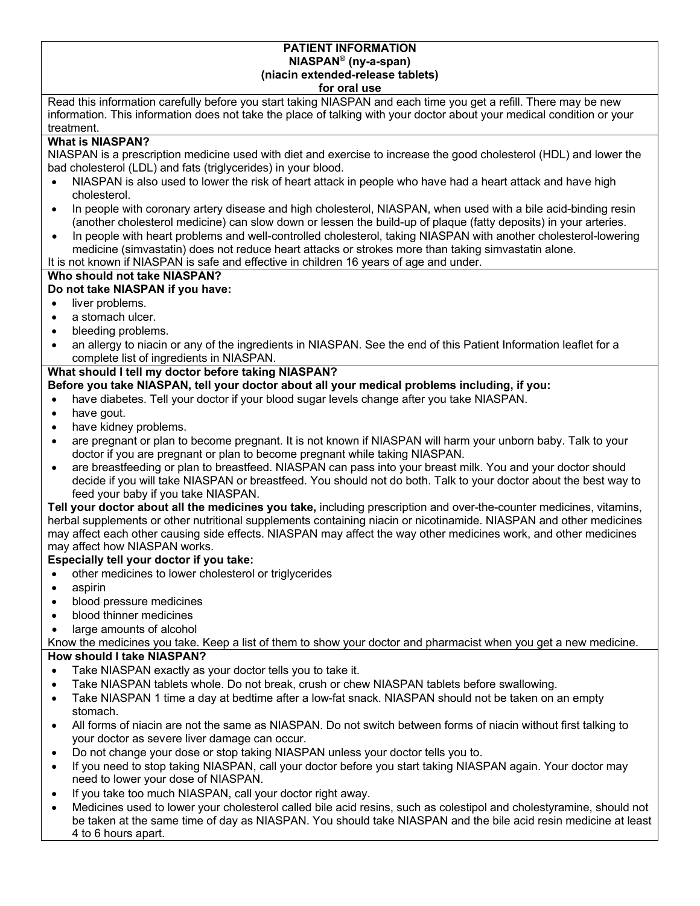#### **PATIENT INFORMATION NIASPAN® (ny-a-span) (niacin extended-release tablets) for oral use**

Read this information carefully before you start taking NIASPAN and each time you get a refill. There may be new information. This information does not take the place of talking with your doctor about your medical condition or your treatment.

#### **What is NIASPAN?**

NIASPAN is a prescription medicine used with diet and exercise to increase the good cholesterol (HDL) and lower the bad cholesterol (LDL) and fats (triglycerides) in your blood.

- NIASPAN is also used to lower the risk of heart attack in people who have had a heart attack and have high cholesterol.
- In people with coronary artery disease and high cholesterol, NIASPAN, when used with a bile acid-binding resin (another cholesterol medicine) can slow down or lessen the build-up of plaque (fatty deposits) in your arteries.
- In people with heart problems and well-controlled cholesterol, taking NIASPAN with another cholesterol-lowering medicine (simvastatin) does not reduce heart attacks or strokes more than taking simvastatin alone.

It is not known if NIASPAN is safe and effective in children 16 years of age and under.

#### **Who should not take NIASPAN?**

#### **Do not take NIASPAN if you have:**

- liver problems.
- a stomach ulcer.
- bleeding problems.
- an allergy to niacin or any of the ingredients in NIASPAN. See the end of this Patient Information leaflet for a complete list of ingredients in NIASPAN.

# **What should I tell my doctor before taking NIASPAN?**

## **Before you take NIASPAN, tell your doctor about all your medical problems including, if you:**

- have diabetes. Tell your doctor if your blood sugar levels change after you take NIASPAN.
- have gout.
- have kidney problems.
- are pregnant or plan to become pregnant. It is not known if NIASPAN will harm your unborn baby. Talk to your doctor if you are pregnant or plan to become pregnant while taking NIASPAN.
- are breastfeeding or plan to breastfeed. NIASPAN can pass into your breast milk. You and your doctor should decide if you will take NIASPAN or breastfeed. You should not do both. Talk to your doctor about the best way to feed your baby if you take NIASPAN.

**Tell your doctor about all the medicines you take,** including prescription and over-the-counter medicines, vitamins, herbal supplements or other nutritional supplements containing niacin or nicotinamide. NIASPAN and other medicines may affect each other causing side effects. NIASPAN may affect the way other medicines work, and other medicines may affect how NIASPAN works.

#### **Especially tell your doctor if you take:**

- other medicines to lower cholesterol or triglycerides
- aspirin
- blood pressure medicines
- blood thinner medicines
- large amounts of alcohol

Know the medicines you take. Keep a list of them to show your doctor and pharmacist when you get a new medicine. **How should I take NIASPAN?**

- Take NIASPAN exactly as your doctor tells you to take it.
- Take NIASPAN tablets whole. Do not break, crush or chew NIASPAN tablets before swallowing.
- Take NIASPAN 1 time a day at bedtime after a low-fat snack. NIASPAN should not be taken on an empty stomach.
- All forms of niacin are not the same as NIASPAN. Do not switch between forms of niacin without first talking to your doctor as severe liver damage can occur.
- Do not change your dose or stop taking NIASPAN unless your doctor tells you to.
- If you need to stop taking NIASPAN, call your doctor before you start taking NIASPAN again. Your doctor may need to lower your dose of NIASPAN.
- If you take too much NIASPAN, call your doctor right away.
- Medicines used to lower your cholesterol called bile acid resins, such as colestipol and cholestyramine, should not be taken at the same time of day as NIASPAN. You should take NIASPAN and the bile acid resin medicine at least 4 to 6 hours apart.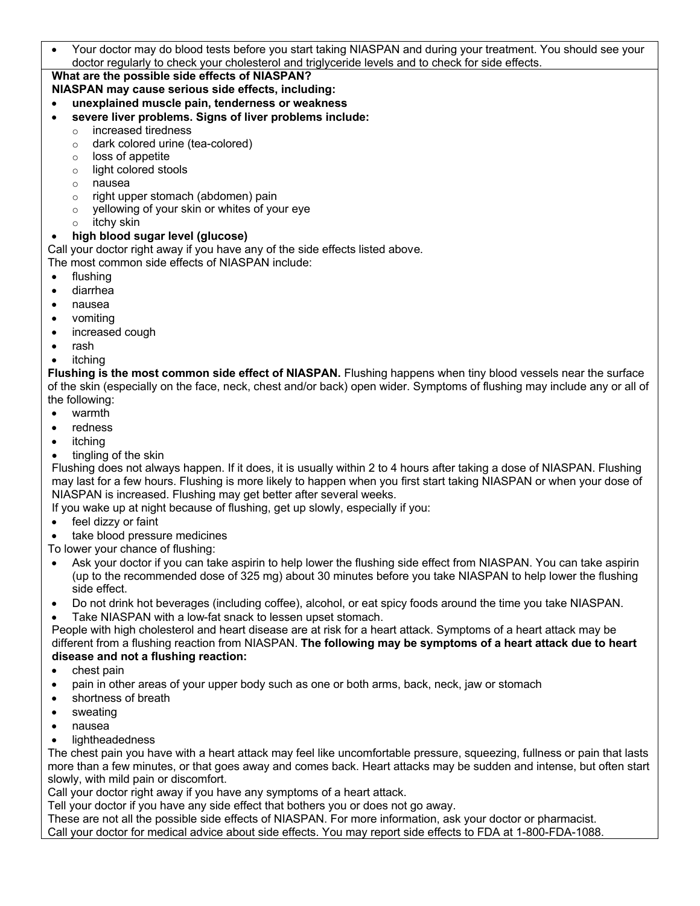Your doctor may do blood tests before you start taking NIASPAN and during your treatment. You should see your doctor regularly to check your cholesterol and triglyceride levels and to check for side effects.

### **What are the possible side effects of NIASPAN?**

### **NIASPAN may cause serious side effects, including:**

- **unexplained muscle pain, tenderness or weakness**
- **severe liver problems. Signs of liver problems include:**
	- o increased tiredness
	- o dark colored urine (tea-colored)
	- o loss of appetite
	- o light colored stools
	- o nausea
	- o right upper stomach (abdomen) pain
	- $\circ$  yellowing of your skin or whites of your eye
	- o itchy skin

#### **high blood sugar level (glucose)**

Call your doctor right away if you have any of the side effects listed above. The most common side effects of NIASPAN include:

- flushing
- diarrhea
- nausea
- vomiting
- increased cough
- rash
- itching

**Flushing is the most common side effect of NIASPAN.** Flushing happens when tiny blood vessels near the surface of the skin (especially on the face, neck, chest and/or back) open wider. Symptoms of flushing may include any or all of the following:

- warmth
- redness
- itching
- tingling of the skin

Flushing does not always happen. If it does, it is usually within 2 to 4 hours after taking a dose of NIASPAN. Flushing may last for a few hours. Flushing is more likely to happen when you first start taking NIASPAN or when your dose of NIASPAN is increased. Flushing may get better after several weeks.

If you wake up at night because of flushing, get up slowly, especially if you:

- feel dizzy or faint
- take blood pressure medicines

To lower your chance of flushing:

- Ask your doctor if you can take aspirin to help lower the flushing side effect from NIASPAN. You can take aspirin (up to the recommended dose of 325 mg) about 30 minutes before you take NIASPAN to help lower the flushing side effect.
- Do not drink hot beverages (including coffee), alcohol, or eat spicy foods around the time you take NIASPAN.
- Take NIASPAN with a low-fat snack to lessen upset stomach.

People with high cholesterol and heart disease are at risk for a heart attack. Symptoms of a heart attack may be different from a flushing reaction from NIASPAN. **The following may be symptoms of a heart attack due to heart disease and not a flushing reaction:**

- chest pain
- pain in other areas of your upper body such as one or both arms, back, neck, jaw or stomach
- shortness of breath
- sweating
- nausea
- lightheadedness

The chest pain you have with a heart attack may feel like uncomfortable pressure, squeezing, fullness or pain that lasts more than a few minutes, or that goes away and comes back. Heart attacks may be sudden and intense, but often start slowly, with mild pain or discomfort.

Call your doctor right away if you have any symptoms of a heart attack.

Tell your doctor if you have any side effect that bothers you or does not go away.

These are not all the possible side effects of NIASPAN. For more information, ask your doctor or pharmacist. Call your doctor for medical advice about side effects. You may report side effects to FDA at 1-800-FDA-1088.